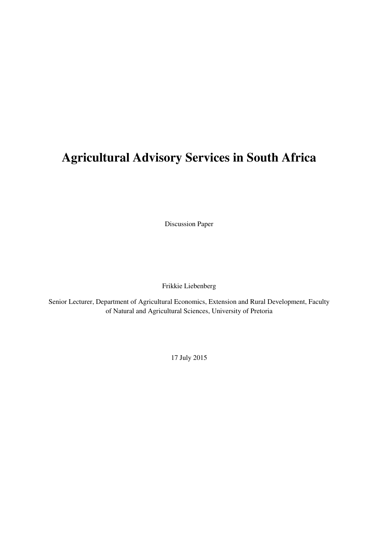# **Agricultural Advisory Services in South Africa**

Discussion Paper

Frikkie Liebenberg

Senior Lecturer, Department of Agricultural Economics, Extension and Rural Development, Faculty of Natural and Agricultural Sciences, University of Pretoria

17 July 2015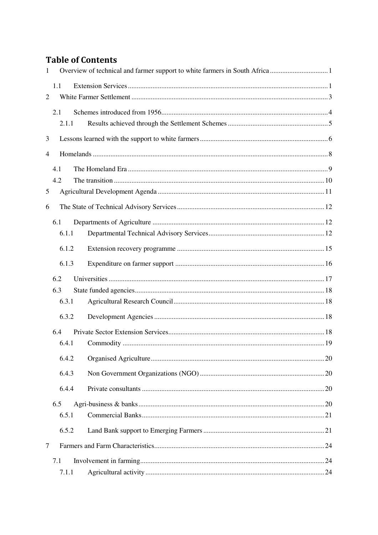# **Table of Contents**

| 1              |       |  |
|----------------|-------|--|
|                | 1.1   |  |
| $\overline{2}$ |       |  |
|                | 2.1   |  |
|                | 2.1.1 |  |
| 3              |       |  |
| 4              |       |  |
|                | 4.1   |  |
|                | 4.2   |  |
| 5              |       |  |
| 6              |       |  |
|                | 6.1   |  |
|                | 6.1.1 |  |
|                | 6.1.2 |  |
|                | 6.1.3 |  |
|                | 6.2   |  |
|                | 6.3   |  |
|                | 6.3.1 |  |
|                | 6.3.2 |  |
|                | 6.4   |  |
|                | 6.4.1 |  |
|                | 6.4.2 |  |
|                | 6.4.3 |  |
|                | 6.4.4 |  |
|                | 6.5   |  |
|                | 6.5.1 |  |
|                | 6.5.2 |  |
| $\tau$         |       |  |
|                | 7.1   |  |
|                | 7.1.1 |  |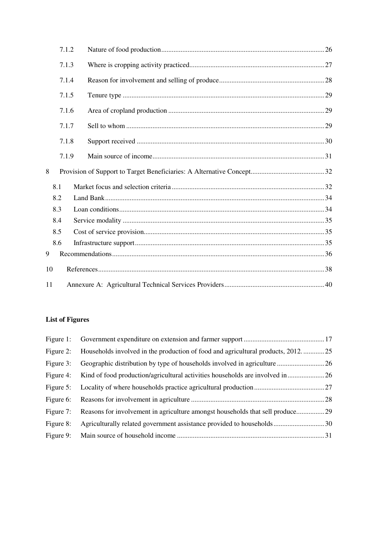|    | 7.1.2 |  |
|----|-------|--|
|    | 7.1.3 |  |
|    | 7.1.4 |  |
|    | 7.1.5 |  |
|    | 7.1.6 |  |
|    | 7.1.7 |  |
|    | 7.1.8 |  |
|    | 7.1.9 |  |
| 8  |       |  |
|    | 8.1   |  |
|    | 8.2   |  |
|    | 8.3   |  |
|    | 8.4   |  |
|    | 8.5   |  |
|    | 8.6   |  |
| 9  |       |  |
| 10 |       |  |
| 11 |       |  |

# **List of Figures**

| Figure 1: |                                                                                 |  |
|-----------|---------------------------------------------------------------------------------|--|
| Figure 2: | Households involved in the production of food and agricultural products, 201225 |  |
| Figure 3: |                                                                                 |  |
| Figure 4: |                                                                                 |  |
| Figure 5: |                                                                                 |  |
| Figure 6: |                                                                                 |  |
| Figure 7: |                                                                                 |  |
| Figure 8: |                                                                                 |  |
| Figure 9: |                                                                                 |  |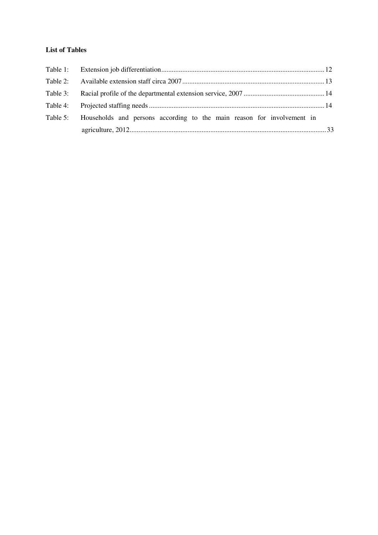## **List of Tables**

| Table 5: Households and persons according to the main reason for involvement in |  |
|---------------------------------------------------------------------------------|--|
|                                                                                 |  |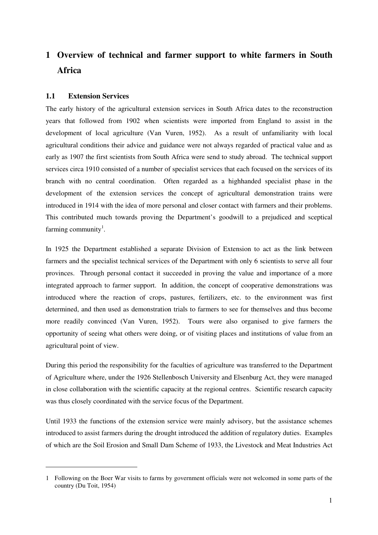# **1 Overview of technical and farmer support to white farmers in South Africa**

#### **1.1 Extension Services**

 $\overline{a}$ 

The early history of the agricultural extension services in South Africa dates to the reconstruction years that followed from 1902 when scientists were imported from England to assist in the development of local agriculture (Van Vuren, 1952). As a result of unfamiliarity with local agricultural conditions their advice and guidance were not always regarded of practical value and as early as 1907 the first scientists from South Africa were send to study abroad. The technical support services circa 1910 consisted of a number of specialist services that each focused on the services of its branch with no central coordination. Often regarded as a highhanded specialist phase in the development of the extension services the concept of agricultural demonstration trains were introduced in 1914 with the idea of more personal and closer contact with farmers and their problems. This contributed much towards proving the Department's goodwill to a prejudiced and sceptical farming community<sup>1</sup>.

In 1925 the Department established a separate Division of Extension to act as the link between farmers and the specialist technical services of the Department with only 6 scientists to serve all four provinces. Through personal contact it succeeded in proving the value and importance of a more integrated approach to farmer support. In addition, the concept of cooperative demonstrations was introduced where the reaction of crops, pastures, fertilizers, etc. to the environment was first determined, and then used as demonstration trials to farmers to see for themselves and thus become more readily convinced (Van Vuren, 1952). Tours were also organised to give farmers the opportunity of seeing what others were doing, or of visiting places and institutions of value from an agricultural point of view.

During this period the responsibility for the faculties of agriculture was transferred to the Department of Agriculture where, under the 1926 Stellenbosch University and Elsenburg Act, they were managed in close collaboration with the scientific capacity at the regional centres. Scientific research capacity was thus closely coordinated with the service focus of the Department.

Until 1933 the functions of the extension service were mainly advisory, but the assistance schemes introduced to assist farmers during the drought introduced the addition of regulatory duties. Examples of which are the Soil Erosion and Small Dam Scheme of 1933, the Livestock and Meat Industries Act

<sup>1</sup> Following on the Boer War visits to farms by government officials were not welcomed in some parts of the country (Du Toit, 1954)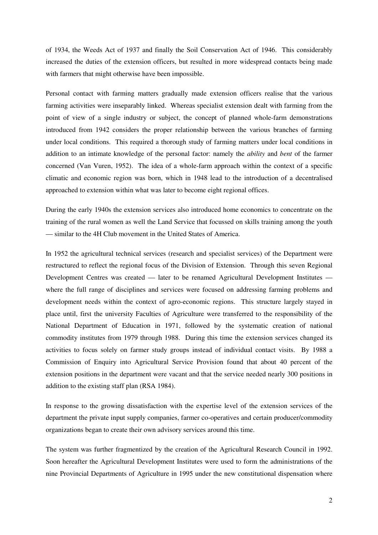of 1934, the Weeds Act of 1937 and finally the Soil Conservation Act of 1946. This considerably increased the duties of the extension officers, but resulted in more widespread contacts being made with farmers that might otherwise have been impossible.

Personal contact with farming matters gradually made extension officers realise that the various farming activities were inseparably linked. Whereas specialist extension dealt with farming from the point of view of a single industry or subject, the concept of planned whole-farm demonstrations introduced from 1942 considers the proper relationship between the various branches of farming under local conditions. This required a thorough study of farming matters under local conditions in addition to an intimate knowledge of the personal factor: namely the *ability* and *bent* of the farmer concerned (Van Vuren, 1952). The idea of a whole-farm approach within the context of a specific climatic and economic region was born, which in 1948 lead to the introduction of a decentralised approached to extension within what was later to become eight regional offices.

During the early 1940s the extension services also introduced home economics to concentrate on the training of the rural women as well the Land Service that focussed on skills training among the youth — similar to the 4H Club movement in the United States of America.

In 1952 the agricultural technical services (research and specialist services) of the Department were restructured to reflect the regional focus of the Division of Extension. Through this seven Regional Development Centres was created — later to be renamed Agricultural Development Institutes where the full range of disciplines and services were focused on addressing farming problems and development needs within the context of agro-economic regions. This structure largely stayed in place until, first the university Faculties of Agriculture were transferred to the responsibility of the National Department of Education in 1971, followed by the systematic creation of national commodity institutes from 1979 through 1988. During this time the extension services changed its activities to focus solely on farmer study groups instead of individual contact visits. By 1988 a Commission of Enquiry into Agricultural Service Provision found that about 40 percent of the extension positions in the department were vacant and that the service needed nearly 300 positions in addition to the existing staff plan (RSA 1984).

In response to the growing dissatisfaction with the expertise level of the extension services of the department the private input supply companies, farmer co-operatives and certain producer/commodity organizations began to create their own advisory services around this time.

The system was further fragmentized by the creation of the Agricultural Research Council in 1992. Soon hereafter the Agricultural Development Institutes were used to form the administrations of the nine Provincial Departments of Agriculture in 1995 under the new constitutional dispensation where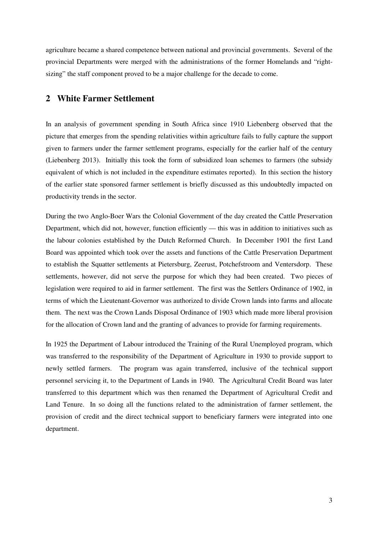agriculture became a shared competence between national and provincial governments. Several of the provincial Departments were merged with the administrations of the former Homelands and "rightsizing" the staff component proved to be a major challenge for the decade to come.

## **2 White Farmer Settlement**

In an analysis of government spending in South Africa since 1910 Liebenberg observed that the picture that emerges from the spending relativities within agriculture fails to fully capture the support given to farmers under the farmer settlement programs, especially for the earlier half of the century (Liebenberg 2013). Initially this took the form of subsidized loan schemes to farmers (the subsidy equivalent of which is not included in the expenditure estimates reported). In this section the history of the earlier state sponsored farmer settlement is briefly discussed as this undoubtedly impacted on productivity trends in the sector.

During the two Anglo-Boer Wars the Colonial Government of the day created the Cattle Preservation Department, which did not, however, function efficiently — this was in addition to initiatives such as the labour colonies established by the Dutch Reformed Church. In December 1901 the first Land Board was appointed which took over the assets and functions of the Cattle Preservation Department to establish the Squatter settlements at Pietersburg, Zeerust, Potchefstroom and Ventersdorp. These settlements, however, did not serve the purpose for which they had been created. Two pieces of legislation were required to aid in farmer settlement. The first was the Settlers Ordinance of 1902, in terms of which the Lieutenant-Governor was authorized to divide Crown lands into farms and allocate them. The next was the Crown Lands Disposal Ordinance of 1903 which made more liberal provision for the allocation of Crown land and the granting of advances to provide for farming requirements.

In 1925 the Department of Labour introduced the Training of the Rural Unemployed program, which was transferred to the responsibility of the Department of Agriculture in 1930 to provide support to newly settled farmers. The program was again transferred, inclusive of the technical support personnel servicing it, to the Department of Lands in 1940. The Agricultural Credit Board was later transferred to this department which was then renamed the Department of Agricultural Credit and Land Tenure. In so doing all the functions related to the administration of farmer settlement, the provision of credit and the direct technical support to beneficiary farmers were integrated into one department.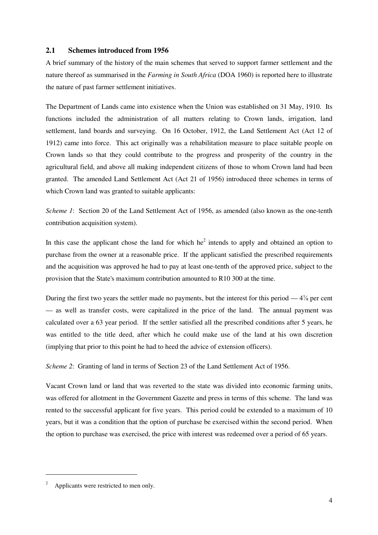#### **2.1 Schemes introduced from 1956**

A brief summary of the history of the main schemes that served to support farmer settlement and the nature thereof as summarised in the *Farming in South Africa* (DOA 1960) is reported here to illustrate the nature of past farmer settlement initiatives.

The Department of Lands came into existence when the Union was established on 31 May, 1910. Its functions included the administration of all matters relating to Crown lands, irrigation, land settlement, land boards and surveying. On 16 October, 1912, the Land Settlement Act (Act 12 of 1912) came into force. This act originally was a rehabilitation measure to place suitable people on Crown lands so that they could contribute to the progress and prosperity of the country in the agricultural field, and above all making independent citizens of those to whom Crown land had been granted. The amended Land Settlement Act (Act 21 of 1956) introduced three schemes in terms of which Crown land was granted to suitable applicants:

*Scheme 1*: Section 20 of the Land Settlement Act of 1956, as amended (also known as the one-tenth contribution acquisition system).

In this case the applicant chose the land for which  $he^2$  intends to apply and obtained an option to purchase from the owner at a reasonable price. If the applicant satisfied the prescribed requirements and the acquisition was approved he had to pay at least one-tenth of the approved price, subject to the provision that the State's maximum contribution amounted to R10 300 at the time.

During the first two years the settler made no payments, but the interest for this period  $-4\%$  per cent — as well as transfer costs, were capitalized in the price of the land. The annual payment was calculated over a 63 year period. If the settler satisfied all the prescribed conditions after 5 years, he was entitled to the title deed, after which he could make use of the land at his own discretion (implying that prior to this point he had to heed the advice of extension officers).

*Scheme 2*: Granting of land in terms of Section 23 of the Land Settlement Act of 1956.

Vacant Crown land or land that was reverted to the state was divided into economic farming units, was offered for allotment in the Government Gazette and press in terms of this scheme. The land was rented to the successful applicant for five years. This period could be extended to a maximum of 10 years, but it was a condition that the option of purchase be exercised within the second period. When the option to purchase was exercised, the price with interest was redeemed over a period of 65 years.

 $\overline{a}$ 

<sup>2</sup> Applicants were restricted to men only.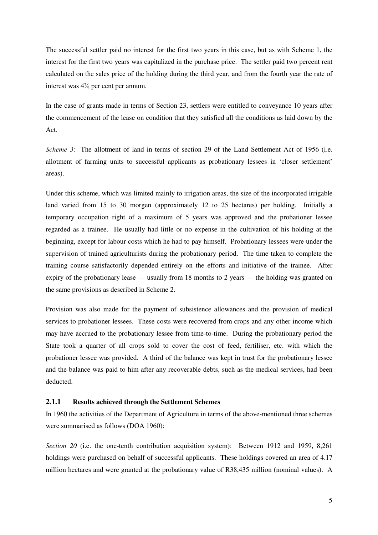The successful settler paid no interest for the first two years in this case, but as with Scheme 1, the interest for the first two years was capitalized in the purchase price. The settler paid two percent rent calculated on the sales price of the holding during the third year, and from the fourth year the rate of interest was 4⅞ per cent per annum.

In the case of grants made in terms of Section 23, settlers were entitled to conveyance 10 years after the commencement of the lease on condition that they satisfied all the conditions as laid down by the Act.

*Scheme 3*: The allotment of land in terms of section 29 of the Land Settlement Act of 1956 (i.e. allotment of farming units to successful applicants as probationary lessees in 'closer settlement' areas).

Under this scheme, which was limited mainly to irrigation areas, the size of the incorporated irrigable land varied from 15 to 30 morgen (approximately 12 to 25 hectares) per holding. Initially a temporary occupation right of a maximum of 5 years was approved and the probationer lessee regarded as a trainee. He usually had little or no expense in the cultivation of his holding at the beginning, except for labour costs which he had to pay himself. Probationary lessees were under the supervision of trained agriculturists during the probationary period. The time taken to complete the training course satisfactorily depended entirely on the efforts and initiative of the trainee. After expiry of the probationary lease — usually from 18 months to 2 years — the holding was granted on the same provisions as described in Scheme 2.

Provision was also made for the payment of subsistence allowances and the provision of medical services to probationer lessees. These costs were recovered from crops and any other income which may have accrued to the probationary lessee from time-to-time. During the probationary period the State took a quarter of all crops sold to cover the cost of feed, fertiliser, etc. with which the probationer lessee was provided. A third of the balance was kept in trust for the probationary lessee and the balance was paid to him after any recoverable debts, such as the medical services, had been deducted.

#### **2.1.1 Results achieved through the Settlement Schemes**

In 1960 the activities of the Department of Agriculture in terms of the above-mentioned three schemes were summarised as follows (DOA 1960):

*Section 20* (i.e. the one-tenth contribution acquisition system): Between 1912 and 1959, 8,261 holdings were purchased on behalf of successful applicants. These holdings covered an area of 4.17 million hectares and were granted at the probationary value of R38,435 million (nominal values). A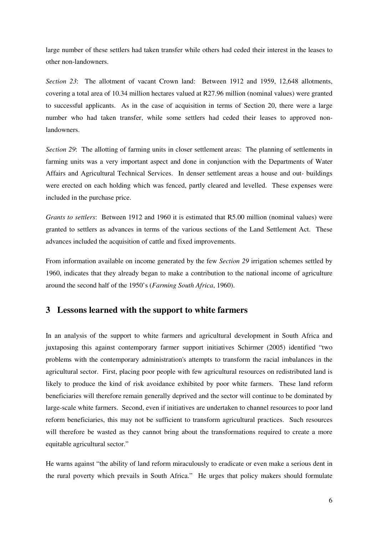large number of these settlers had taken transfer while others had ceded their interest in the leases to other non-landowners.

*Section 23*: The allotment of vacant Crown land: Between 1912 and 1959, 12,648 allotments, covering a total area of 10.34 million hectares valued at R27.96 million (nominal values) were granted to successful applicants. As in the case of acquisition in terms of Section 20, there were a large number who had taken transfer, while some settlers had ceded their leases to approved nonlandowners.

*Section 29*: The allotting of farming units in closer settlement areas: The planning of settlements in farming units was a very important aspect and done in conjunction with the Departments of Water Affairs and Agricultural Technical Services. In denser settlement areas a house and out- buildings were erected on each holding which was fenced, partly cleared and levelled. These expenses were included in the purchase price.

*Grants to settlers*: Between 1912 and 1960 it is estimated that R5.00 million (nominal values) were granted to settlers as advances in terms of the various sections of the Land Settlement Act. These advances included the acquisition of cattle and fixed improvements.

From information available on income generated by the few *Section 29* irrigation schemes settled by 1960, indicates that they already began to make a contribution to the national income of agriculture around the second half of the 1950's (*Farming South Africa*, 1960).

## **3 Lessons learned with the support to white farmers**

In an analysis of the support to white farmers and agricultural development in South Africa and juxtaposing this against contemporary farmer support initiatives Schirmer (2005) identified "two problems with the contemporary administration's attempts to transform the racial imbalances in the agricultural sector. First, placing poor people with few agricultural resources on redistributed land is likely to produce the kind of risk avoidance exhibited by poor white farmers. These land reform beneficiaries will therefore remain generally deprived and the sector will continue to be dominated by large-scale white farmers. Second, even if initiatives are undertaken to channel resources to poor land reform beneficiaries, this may not be sufficient to transform agricultural practices. Such resources will therefore be wasted as they cannot bring about the transformations required to create a more equitable agricultural sector."

He warns against "the ability of land reform miraculously to eradicate or even make a serious dent in the rural poverty which prevails in South Africa." He urges that policy makers should formulate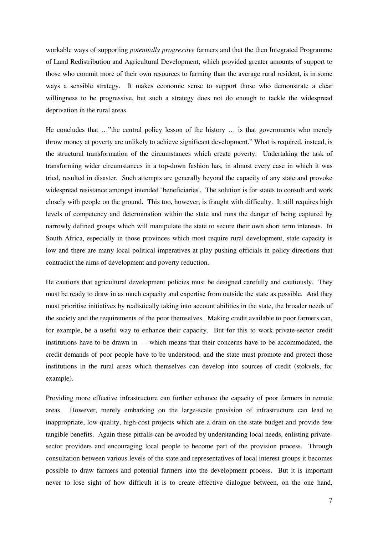workable ways of supporting *potentially progressive* farmers and that the then Integrated Programme of Land Redistribution and Agricultural Development, which provided greater amounts of support to those who commit more of their own resources to farming than the average rural resident, is in some ways a sensible strategy. It makes economic sense to support those who demonstrate a clear willingness to be progressive, but such a strategy does not do enough to tackle the widespread deprivation in the rural areas.

He concludes that …"the central policy lesson of the history … is that governments who merely throw money at poverty are unlikely to achieve significant development." What is required, instead, is the structural transformation of the circumstances which create poverty. Undertaking the task of transforming wider circumstances in a top-down fashion has, in almost every case in which it was tried, resulted in disaster. Such attempts are generally beyond the capacity of any state and provoke widespread resistance amongst intended `beneficiaries'. The solution is for states to consult and work closely with people on the ground. This too, however, is fraught with difficulty. It still requires high levels of competency and determination within the state and runs the danger of being captured by narrowly defined groups which will manipulate the state to secure their own short term interests. In South Africa, especially in those provinces which most require rural development, state capacity is low and there are many local political imperatives at play pushing officials in policy directions that contradict the aims of development and poverty reduction.

He cautions that agricultural development policies must be designed carefully and cautiously. They must be ready to draw in as much capacity and expertise from outside the state as possible. And they must prioritise initiatives by realistically taking into account abilities in the state, the broader needs of the society and the requirements of the poor themselves. Making credit available to poor farmers can, for example, be a useful way to enhance their capacity. But for this to work private-sector credit institutions have to be drawn in — which means that their concerns have to be accommodated, the credit demands of poor people have to be understood, and the state must promote and protect those institutions in the rural areas which themselves can develop into sources of credit (stokvels, for example).

Providing more effective infrastructure can further enhance the capacity of poor farmers in remote areas. However, merely embarking on the large-scale provision of infrastructure can lead to inappropriate, low-quality, high-cost projects which are a drain on the state budget and provide few tangible benefits. Again these pitfalls can be avoided by understanding local needs, enlisting privatesector providers and encouraging local people to become part of the provision process. Through consultation between various levels of the state and representatives of local interest groups it becomes possible to draw farmers and potential farmers into the development process. But it is important never to lose sight of how difficult it is to create effective dialogue between, on the one hand,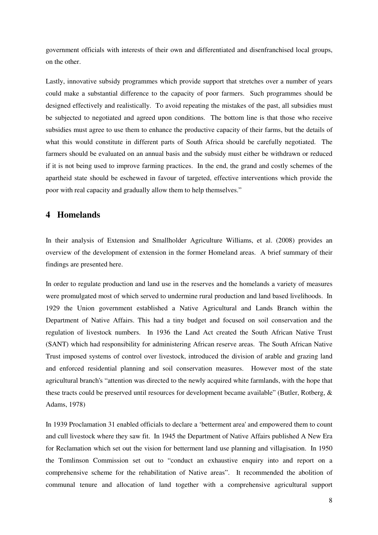government officials with interests of their own and differentiated and disenfranchised local groups, on the other.

Lastly, innovative subsidy programmes which provide support that stretches over a number of years could make a substantial difference to the capacity of poor farmers. Such programmes should be designed effectively and realistically. To avoid repeating the mistakes of the past, all subsidies must be subjected to negotiated and agreed upon conditions. The bottom line is that those who receive subsidies must agree to use them to enhance the productive capacity of their farms, but the details of what this would constitute in different parts of South Africa should be carefully negotiated. The farmers should be evaluated on an annual basis and the subsidy must either be withdrawn or reduced if it is not being used to improve farming practices. In the end, the grand and costly schemes of the apartheid state should be eschewed in favour of targeted, effective interventions which provide the poor with real capacity and gradually allow them to help themselves."

## **4 Homelands**

In their analysis of Extension and Smallholder Agriculture Williams, et al. (2008) provides an overview of the development of extension in the former Homeland areas. A brief summary of their findings are presented here.

In order to regulate production and land use in the reserves and the homelands a variety of measures were promulgated most of which served to undermine rural production and land based livelihoods. In 1929 the Union government established a Native Agricultural and Lands Branch within the Department of Native Affairs. This had a tiny budget and focused on soil conservation and the regulation of livestock numbers. In 1936 the Land Act created the South African Native Trust (SANT) which had responsibility for administering African reserve areas. The South African Native Trust imposed systems of control over livestock, introduced the division of arable and grazing land and enforced residential planning and soil conservation measures. However most of the state agricultural branch's "attention was directed to the newly acquired white farmlands, with the hope that these tracts could be preserved until resources for development became available" (Butler, Rotberg, & Adams, 1978)

In 1939 Proclamation 31 enabled officials to declare a 'betterment area' and empowered them to count and cull livestock where they saw fit. In 1945 the Department of Native Affairs published A New Era for Reclamation which set out the vision for betterment land use planning and villagisation. In 1950 the Tomlinson Commission set out to "conduct an exhaustive enquiry into and report on a comprehensive scheme for the rehabilitation of Native areas". It recommended the abolition of communal tenure and allocation of land together with a comprehensive agricultural support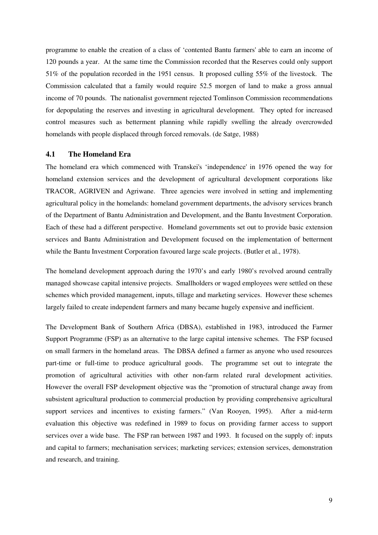programme to enable the creation of a class of 'contented Bantu farmers' able to earn an income of 120 pounds a year. At the same time the Commission recorded that the Reserves could only support 51% of the population recorded in the 1951 census. It proposed culling 55% of the livestock. The Commission calculated that a family would require 52.5 morgen of land to make a gross annual income of 70 pounds. The nationalist government rejected Tomlinson Commission recommendations for depopulating the reserves and investing in agricultural development. They opted for increased control measures such as betterment planning while rapidly swelling the already overcrowded homelands with people displaced through forced removals. (de Satge, 1988)

#### **4.1 The Homeland Era**

The homeland era which commenced with Transkei's 'independence' in 1976 opened the way for homeland extension services and the development of agricultural development corporations like TRACOR, AGRIVEN and Agriwane. Three agencies were involved in setting and implementing agricultural policy in the homelands: homeland government departments, the advisory services branch of the Department of Bantu Administration and Development, and the Bantu Investment Corporation. Each of these had a different perspective. Homeland governments set out to provide basic extension services and Bantu Administration and Development focused on the implementation of betterment while the Bantu Investment Corporation favoured large scale projects. (Butler et al., 1978).

The homeland development approach during the 1970's and early 1980's revolved around centrally managed showcase capital intensive projects. Smallholders or waged employees were settled on these schemes which provided management, inputs, tillage and marketing services. However these schemes largely failed to create independent farmers and many became hugely expensive and inefficient.

The Development Bank of Southern Africa (DBSA), established in 1983, introduced the Farmer Support Programme (FSP) as an alternative to the large capital intensive schemes. The FSP focused on small farmers in the homeland areas. The DBSA defined a farmer as anyone who used resources part-time or full-time to produce agricultural goods. The programme set out to integrate the promotion of agricultural activities with other non-farm related rural development activities. However the overall FSP development objective was the "promotion of structural change away from subsistent agricultural production to commercial production by providing comprehensive agricultural support services and incentives to existing farmers." (Van Rooyen, 1995). After a mid-term evaluation this objective was redefined in 1989 to focus on providing farmer access to support services over a wide base. The FSP ran between 1987 and 1993. It focused on the supply of: inputs and capital to farmers; mechanisation services; marketing services; extension services, demonstration and research, and training.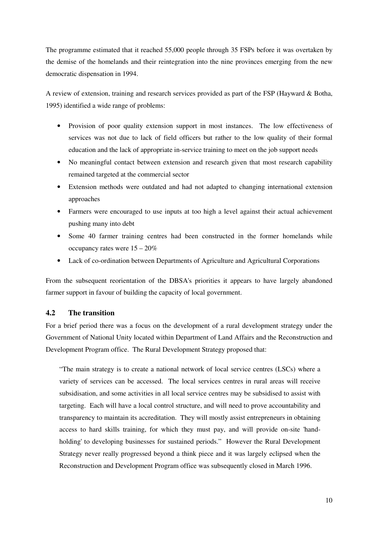The programme estimated that it reached 55,000 people through 35 FSPs before it was overtaken by the demise of the homelands and their reintegration into the nine provinces emerging from the new democratic dispensation in 1994.

A review of extension, training and research services provided as part of the FSP (Hayward & Botha, 1995) identified a wide range of problems:

- Provision of poor quality extension support in most instances. The low effectiveness of services was not due to lack of field officers but rather to the low quality of their formal education and the lack of appropriate in-service training to meet on the job support needs
- No meaningful contact between extension and research given that most research capability remained targeted at the commercial sector
- Extension methods were outdated and had not adapted to changing international extension approaches
- Farmers were encouraged to use inputs at too high a level against their actual achievement pushing many into debt
- Some 40 farmer training centres had been constructed in the former homelands while occupancy rates were  $15 - 20\%$
- Lack of co-ordination between Departments of Agriculture and Agricultural Corporations

From the subsequent reorientation of the DBSA's priorities it appears to have largely abandoned farmer support in favour of building the capacity of local government.

## **4.2 The transition**

For a brief period there was a focus on the development of a rural development strategy under the Government of National Unity located within Department of Land Affairs and the Reconstruction and Development Program office. The Rural Development Strategy proposed that:

"The main strategy is to create a national network of local service centres (LSCs) where a variety of services can be accessed. The local services centres in rural areas will receive subsidisation, and some activities in all local service centres may be subsidised to assist with targeting. Each will have a local control structure, and will need to prove accountability and transparency to maintain its accreditation. They will mostly assist entrepreneurs in obtaining access to hard skills training, for which they must pay, and will provide on-site 'handholding' to developing businesses for sustained periods." However the Rural Development Strategy never really progressed beyond a think piece and it was largely eclipsed when the Reconstruction and Development Program office was subsequently closed in March 1996.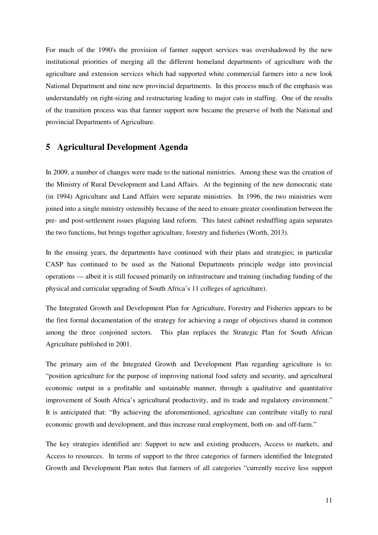For much of the 1990's the provision of farmer support services was overshadowed by the new institutional priorities of merging all the different homeland departments of agriculture with the agriculture and extension services which had supported white commercial farmers into a new look National Department and nine new provincial departments. In this process much of the emphasis was understandably on right-sizing and restructuring leading to major cuts in staffing. One of the results of the transition process was that farmer support now became the preserve of both the National and provincial Departments of Agriculture.

## **5 Agricultural Development Agenda**

In 2009, a number of changes were made to the national ministries. Among these was the creation of the Ministry of Rural Development and Land Affairs. At the beginning of the new democratic state (in 1994) Agriculture and Land Affairs were separate ministries. In 1996, the two ministries were joined into a single ministry ostensibly because of the need to ensure greater coordination between the pre- and post-settlement issues plaguing land reform. This latest cabinet reshuffling again separates the two functions, but brings together agriculture, forestry and fisheries (Worth, 2013).

In the ensuing years, the departments have continued with their plans and strategies; in particular CASP has continued to be used as the National Departments principle wedge into provincial operations — albeit it is still focused primarily on infrastructure and training (including funding of the physical and curricular upgrading of South Africa's 11 colleges of agriculture).

The Integrated Growth and Development Plan for Agriculture, Forestry and Fisheries appears to be the first formal documentation of the strategy for achieving a range of objectives shared in common among the three conjoined sectors. This plan replaces the Strategic Plan for South African Agriculture published in 2001.

The primary aim of the Integrated Growth and Development Plan regarding agriculture is to: "position agriculture for the purpose of improving national food safety and security, and agricultural economic output in a profitable and sustainable manner, through a qualitative and quantitative improvement of South Africa's agricultural productivity, and its trade and regulatory environment." It is anticipated that: "By achieving the aforementioned, agriculture can contribute vitally to rural economic growth and development, and thus increase rural employment, both on- and off-farm."

The key strategies identified are: Support to new and existing producers, Access to markets, and Access to resources. In terms of support to the three categories of farmers identified the Integrated Growth and Development Plan notes that farmers of all categories "currently receive less support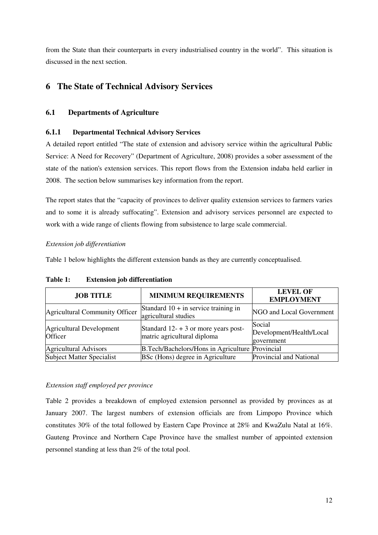from the State than their counterparts in every industrialised country in the world". This situation is discussed in the next section.

## **6 The State of Technical Advisory Services**

## **6.1 Departments of Agriculture**

## **6.1.1 Departmental Technical Advisory Services**

A detailed report entitled "The state of extension and advisory service within the agricultural Public Service: A Need for Recovery" (Department of Agriculture, 2008) provides a sober assessment of the state of the nation's extension services. This report flows from the Extension indaba held earlier in 2008. The section below summarises key information from the report.

The report states that the "capacity of provinces to deliver quality extension services to farmers varies and to some it is already suffocating". Extension and advisory services personnel are expected to work with a wide range of clients flowing from subsistence to large scale commercial.

## *Extension job differentiation*

Table 1 below highlights the different extension bands as they are currently conceptualised.

| <b>JOB TITLE</b>                    | <b>MINIMUM REQUIREMENTS</b>                                          | <b>LEVEL OF</b><br><b>EMPLOYMENT</b>             |
|-------------------------------------|----------------------------------------------------------------------|--------------------------------------------------|
| Agricultural Community Officer      | Standard $10 +$ in service training in<br>agricultural studies       | NGO and Local Government                         |
| Agricultural Development<br>Officer | Standard $12 - 3$ or more years post-<br>matric agricultural diploma | Social<br>Development/Health/Local<br>government |
| Agricultural Advisors               | B.Tech/Bachelors/Hons in Agriculture Provincial                      |                                                  |
| Subject Matter Specialist           | BSc (Hons) degree in Agriculture                                     | Provincial and National                          |

**Table 1: Extension job differentiation** 

## *Extension staff employed per province*

Table 2 provides a breakdown of employed extension personnel as provided by provinces as at January 2007. The largest numbers of extension officials are from Limpopo Province which constitutes 30% of the total followed by Eastern Cape Province at 28% and KwaZulu Natal at 16%. Gauteng Province and Northern Cape Province have the smallest number of appointed extension personnel standing at less than 2% of the total pool.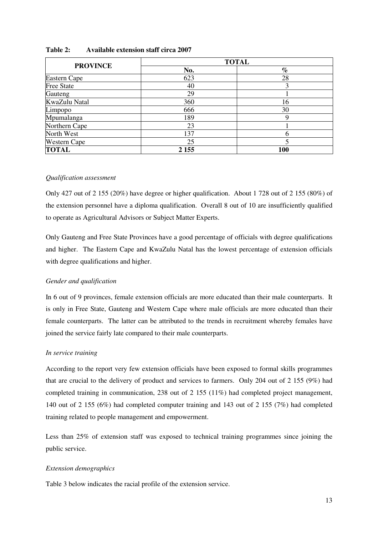|                     |         | <b>TOTAL</b> |
|---------------------|---------|--------------|
| <b>PROVINCE</b>     | No.     | $\%$         |
| Eastern Cape        | 623     | 28           |
| <b>Free State</b>   | 40      |              |
| Gauteng             | 29      |              |
| KwaZulu Natal       | 360     | 16           |
| Limpopo             | 666     | 30           |
| Mpumalanga          | 189     |              |
| Northern Cape       | 23      |              |
| North West          | 137     |              |
| <b>Western Cape</b> | 25      |              |
| <b>TOTAL</b>        | 2 1 5 5 | 100          |

#### **Table 2: Available extension staff circa 2007**

#### *Qualification assessment*

Only 427 out of 2 155 (20%) have degree or higher qualification. About 1 728 out of 2 155 (80%) of the extension personnel have a diploma qualification. Overall 8 out of 10 are insufficiently qualified to operate as Agricultural Advisors or Subject Matter Experts.

Only Gauteng and Free State Provinces have a good percentage of officials with degree qualifications and higher. The Eastern Cape and KwaZulu Natal has the lowest percentage of extension officials with degree qualifications and higher.

#### *Gender and qualification*

In 6 out of 9 provinces, female extension officials are more educated than their male counterparts. It is only in Free State, Gauteng and Western Cape where male officials are more educated than their female counterparts. The latter can be attributed to the trends in recruitment whereby females have joined the service fairly late compared to their male counterparts.

#### *In service training*

According to the report very few extension officials have been exposed to formal skills programmes that are crucial to the delivery of product and services to farmers. Only 204 out of 2 155 (9%) had completed training in communication, 238 out of 2 155 (11%) had completed project management, 140 out of 2 155 (6%) had completed computer training and 143 out of 2 155 (7%) had completed training related to people management and empowerment.

Less than 25% of extension staff was exposed to technical training programmes since joining the public service.

#### *Extension demographics*

Table 3 below indicates the racial profile of the extension service.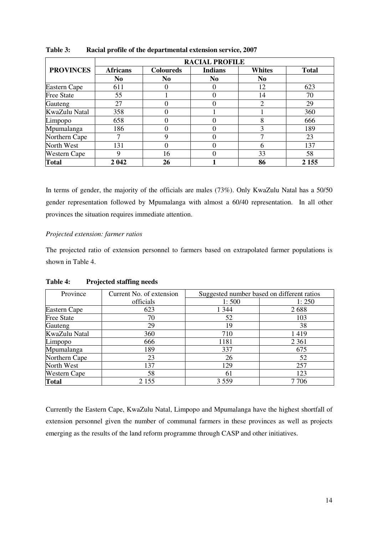|                   |                 |                  | <b>RACIAL PROFILE</b> |               |              |
|-------------------|-----------------|------------------|-----------------------|---------------|--------------|
| <b>PROVINCES</b>  | <b>Africans</b> | <b>Coloureds</b> | <b>Indians</b>        | <b>Whites</b> | <b>Total</b> |
|                   | N <sub>0</sub>  | N <sub>0</sub>   | No                    | No            |              |
| Eastern Cape      | 611             |                  |                       | 12            | 623          |
| <b>Free State</b> | 55              |                  |                       | 14            | 70           |
| Gauteng           | 27              |                  |                       | 2             | 29           |
| KwaZulu Natal     | 358             |                  |                       |               | 360          |
| Limpopo           | 658             |                  |                       | 8             | 666          |
| Mpumalanga        | 186             |                  |                       | 3             | 189          |
| Northern Cape     |                 | Q                |                       | 7             | 23           |
| North West        | 131             |                  |                       | 6             | 137          |
| Western Cape      | 9               | 16               |                       | 33            | 58           |
| <b>Total</b>      | 2042            | 26               |                       | 86            | 2 1 5 5      |

**Table 3: Racial profile of the departmental extension service, 2007** 

In terms of gender, the majority of the officials are males (73%). Only KwaZulu Natal has a 50/50 gender representation followed by Mpumalanga with almost a 60/40 representation. In all other provinces the situation requires immediate attention.

#### *Projected extension: farmer ratios*

The projected ratio of extension personnel to farmers based on extrapolated farmer populations is shown in Table 4.

| Province            | Current No. of extension | Suggested number based on different ratios |         |
|---------------------|--------------------------|--------------------------------------------|---------|
|                     | officials                | 1:500                                      | 1:250   |
| <b>Eastern Cape</b> | 623                      | 1 3 4 4                                    | 2688    |
| <b>Free State</b>   | 70                       | 52                                         | 103     |
| Gauteng             | 29                       | 19                                         | 38      |
| KwaZulu Natal       | 360                      | 710                                        | 1419    |
| Limpopo             | 666                      | 1181                                       | 2 3 6 1 |
| Mpumalanga          | 189                      | 337                                        | 675     |
| Northern Cape       | 23                       | 26                                         | 52      |
| North West          | 137                      | 129                                        | 257     |
| <b>Western Cape</b> | 58                       | 61                                         | 123     |
| <b>Total</b>        | 2 1 5 5                  | 3 5 5 9                                    | 7706    |

**Table 4: Projected staffing needs** 

Currently the Eastern Cape, KwaZulu Natal, Limpopo and Mpumalanga have the highest shortfall of extension personnel given the number of communal farmers in these provinces as well as projects emerging as the results of the land reform programme through CASP and other initiatives.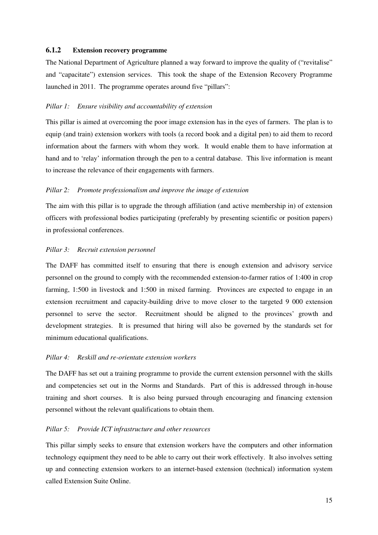#### **6.1.2 Extension recovery programme**

The National Department of Agriculture planned a way forward to improve the quality of ("revitalise" and "capacitate") extension services. This took the shape of the Extension Recovery Programme launched in 2011. The programme operates around five "pillars":

#### *Pillar 1: Ensure visibility and accountability of extension*

This pillar is aimed at overcoming the poor image extension has in the eyes of farmers. The plan is to equip (and train) extension workers with tools (a record book and a digital pen) to aid them to record information about the farmers with whom they work. It would enable them to have information at hand and to 'relay' information through the pen to a central database. This live information is meant to increase the relevance of their engagements with farmers.

#### *Pillar 2: Promote professionalism and improve the image of extension*

The aim with this pillar is to upgrade the through affiliation (and active membership in) of extension officers with professional bodies participating (preferably by presenting scientific or position papers) in professional conferences.

#### *Pillar 3: Recruit extension personnel*

The DAFF has committed itself to ensuring that there is enough extension and advisory service personnel on the ground to comply with the recommended extension-to-farmer ratios of 1:400 in crop farming, 1:500 in livestock and 1:500 in mixed farming. Provinces are expected to engage in an extension recruitment and capacity-building drive to move closer to the targeted 9 000 extension personnel to serve the sector. Recruitment should be aligned to the provinces' growth and development strategies. It is presumed that hiring will also be governed by the standards set for minimum educational qualifications.

#### *Pillar 4: Reskill and re-orientate extension workers*

The DAFF has set out a training programme to provide the current extension personnel with the skills and competencies set out in the Norms and Standards. Part of this is addressed through in-house training and short courses. It is also being pursued through encouraging and financing extension personnel without the relevant qualifications to obtain them.

#### *Pillar 5: Provide ICT infrastructure and other resources*

This pillar simply seeks to ensure that extension workers have the computers and other information technology equipment they need to be able to carry out their work effectively. It also involves setting up and connecting extension workers to an internet-based extension (technical) information system called Extension Suite Online.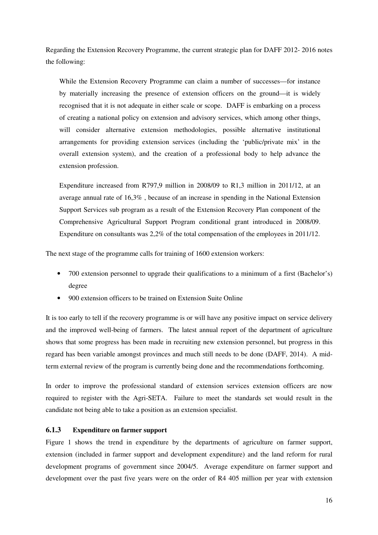Regarding the Extension Recovery Programme, the current strategic plan for DAFF 2012- 2016 notes the following:

While the Extension Recovery Programme can claim a number of successes—for instance by materially increasing the presence of extension officers on the ground—it is widely recognised that it is not adequate in either scale or scope. DAFF is embarking on a process of creating a national policy on extension and advisory services, which among other things, will consider alternative extension methodologies, possible alternative institutional arrangements for providing extension services (including the 'public/private mix' in the overall extension system), and the creation of a professional body to help advance the extension profession.

Expenditure increased from R797,9 million in 2008/09 to R1,3 million in 2011/12, at an average annual rate of 16,3% , because of an increase in spending in the National Extension Support Services sub program as a result of the Extension Recovery Plan component of the Comprehensive Agricultural Support Program conditional grant introduced in 2008/09. Expenditure on consultants was 2,2% of the total compensation of the employees in 2011/12.

The next stage of the programme calls for training of 1600 extension workers:

- 700 extension personnel to upgrade their qualifications to a minimum of a first (Bachelor's) degree
- 900 extension officers to be trained on Extension Suite Online

It is too early to tell if the recovery programme is or will have any positive impact on service delivery and the improved well-being of farmers. The latest annual report of the department of agriculture shows that some progress has been made in recruiting new extension personnel, but progress in this regard has been variable amongst provinces and much still needs to be done (DAFF, 2014). A midterm external review of the program is currently being done and the recommendations forthcoming.

In order to improve the professional standard of extension services extension officers are now required to register with the Agri-SETA. Failure to meet the standards set would result in the candidate not being able to take a position as an extension specialist.

#### **6.1.3 Expenditure on farmer support**

Figure 1 shows the trend in expenditure by the departments of agriculture on farmer support, extension (included in farmer support and development expenditure) and the land reform for rural development programs of government since 2004/5. Average expenditure on farmer support and development over the past five years were on the order of R4 405 million per year with extension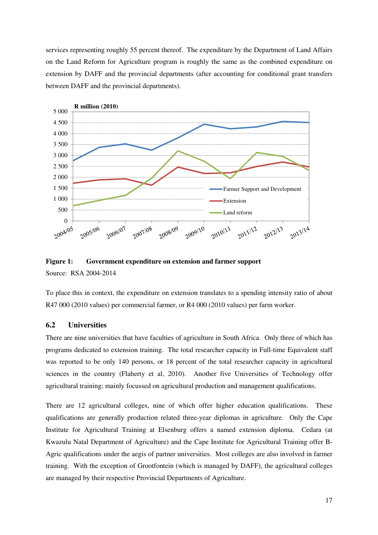services representing roughly 55 percent thereof. The expenditure by the Department of Land Affairs on the Land Reform for Agriculture program is roughly the same as the combined expenditure on extension by DAFF and the provincial departments (after accounting for conditional grant transfers between DAFF and the provincial departments).



**Figure 1: Government expenditure on extension and farmer support**  Source: RSA 2004-2014

To place this in context, the expenditure on extension translates to a spending intensity ratio of about R47 000 (2010 values) per commercial farmer, or R4 000 (2010 values) per farm worker.

#### **6.2 Universities**

There are nine universities that have faculties of agriculture in South Africa. Only three of which has programs dedicated to extension training. The total researcher capacity in Full-time Equivalent staff was reported to be only 140 persons, or 18 percent of the total researcher capacity in agricultural sciences in the country (Flaherty et al, 2010). Another five Universities of Technology offer agricultural training; mainly focussed on agricultural production and management qualifications.

There are 12 agricultural colleges, nine of which offer higher education qualifications. These qualifications are generally production related three-year diplomas in agriculture. Only the Cape Institute for Agricultural Training at Elsenburg offers a named extension diploma. Cedara (at Kwazulu Natal Department of Agriculture) and the Cape Institute for Agricultural Training offer B-Agric qualifications under the aegis of partner universities. Most colleges are also involved in farmer training. With the exception of Grootfontein (which is managed by DAFF), the agricultural colleges are managed by their respective Provincial Departments of Agriculture.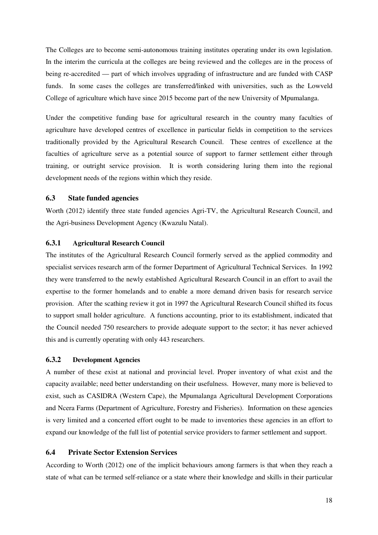The Colleges are to become semi-autonomous training institutes operating under its own legislation. In the interim the curricula at the colleges are being reviewed and the colleges are in the process of being re-accredited — part of which involves upgrading of infrastructure and are funded with CASP funds. In some cases the colleges are transferred/linked with universities, such as the Lowveld College of agriculture which have since 2015 become part of the new University of Mpumalanga.

Under the competitive funding base for agricultural research in the country many faculties of agriculture have developed centres of excellence in particular fields in competition to the services traditionally provided by the Agricultural Research Council. These centres of excellence at the faculties of agriculture serve as a potential source of support to farmer settlement either through training, or outright service provision. It is worth considering luring them into the regional development needs of the regions within which they reside.

#### **6.3 State funded agencies**

Worth (2012) identify three state funded agencies Agri-TV, the Agricultural Research Council, and the Agri-business Development Agency (Kwazulu Natal).

#### **6.3.1 Agricultural Research Council**

The institutes of the Agricultural Research Council formerly served as the applied commodity and specialist services research arm of the former Department of Agricultural Technical Services. In 1992 they were transferred to the newly established Agricultural Research Council in an effort to avail the expertise to the former homelands and to enable a more demand driven basis for research service provision. After the scathing review it got in 1997 the Agricultural Research Council shifted its focus to support small holder agriculture. A functions accounting, prior to its establishment, indicated that the Council needed 750 researchers to provide adequate support to the sector; it has never achieved this and is currently operating with only 443 researchers.

#### **6.3.2 Development Agencies**

A number of these exist at national and provincial level. Proper inventory of what exist and the capacity available; need better understanding on their usefulness. However, many more is believed to exist, such as CASIDRA (Western Cape), the Mpumalanga Agricultural Development Corporations and Ncera Farms (Department of Agriculture, Forestry and Fisheries). Information on these agencies is very limited and a concerted effort ought to be made to inventories these agencies in an effort to expand our knowledge of the full list of potential service providers to farmer settlement and support.

#### **6.4 Private Sector Extension Services**

According to Worth (2012) one of the implicit behaviours among farmers is that when they reach a state of what can be termed self-reliance or a state where their knowledge and skills in their particular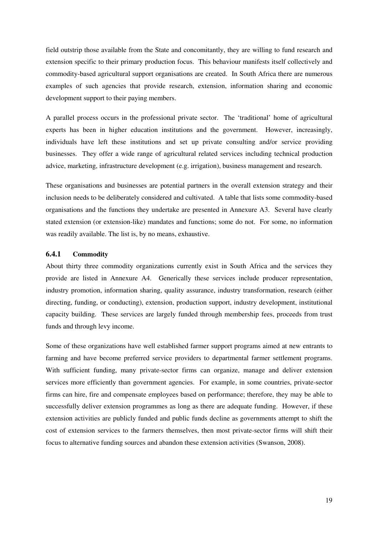field outstrip those available from the State and concomitantly, they are willing to fund research and extension specific to their primary production focus. This behaviour manifests itself collectively and commodity-based agricultural support organisations are created. In South Africa there are numerous examples of such agencies that provide research, extension, information sharing and economic development support to their paying members.

A parallel process occurs in the professional private sector. The 'traditional' home of agricultural experts has been in higher education institutions and the government. However, increasingly, individuals have left these institutions and set up private consulting and/or service providing businesses. They offer a wide range of agricultural related services including technical production advice, marketing, infrastructure development (e.g. irrigation), business management and research.

These organisations and businesses are potential partners in the overall extension strategy and their inclusion needs to be deliberately considered and cultivated. A table that lists some commodity-based organisations and the functions they undertake are presented in Annexure A3. Several have clearly stated extension (or extension-like) mandates and functions; some do not. For some, no information was readily available. The list is, by no means, exhaustive.

#### **6.4.1 Commodity**

About thirty three commodity organizations currently exist in South Africa and the services they provide are listed in Annexure A4. Generically these services include producer representation, industry promotion, information sharing, quality assurance, industry transformation, research (either directing, funding, or conducting), extension, production support, industry development, institutional capacity building. These services are largely funded through membership fees, proceeds from trust funds and through levy income.

Some of these organizations have well established farmer support programs aimed at new entrants to farming and have become preferred service providers to departmental farmer settlement programs. With sufficient funding, many private-sector firms can organize, manage and deliver extension services more efficiently than government agencies. For example, in some countries, private-sector firms can hire, fire and compensate employees based on performance; therefore, they may be able to successfully deliver extension programmes as long as there are adequate funding. However, if these extension activities are publicly funded and public funds decline as governments attempt to shift the cost of extension services to the farmers themselves, then most private-sector firms will shift their focus to alternative funding sources and abandon these extension activities (Swanson, 2008).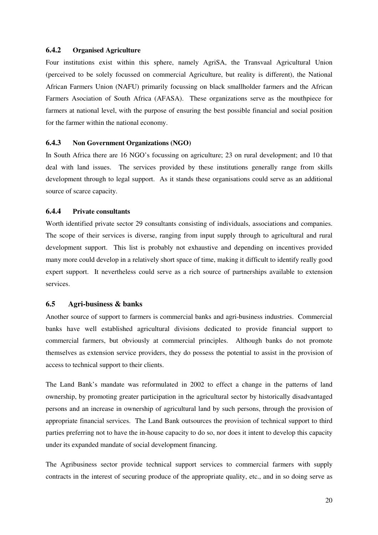#### **6.4.2 Organised Agriculture**

Four institutions exist within this sphere, namely AgriSA, the Transvaal Agricultural Union (perceived to be solely focussed on commercial Agriculture, but reality is different), the National African Farmers Union (NAFU) primarily focussing on black smallholder farmers and the African Farmers Asociation of South Africa (AFASA). These organizations serve as the mouthpiece for farmers at national level, with the purpose of ensuring the best possible financial and social position for the farmer within the national economy.

#### **6.4.3 Non Government Organizations (NGO)**

In South Africa there are 16 NGO's focussing on agriculture; 23 on rural development; and 10 that deal with land issues. The services provided by these institutions generally range from skills development through to legal support. As it stands these organisations could serve as an additional source of scarce capacity.

#### **6.4.4 Private consultants**

Worth identified private sector 29 consultants consisting of individuals, associations and companies. The scope of their services is diverse, ranging from input supply through to agricultural and rural development support. This list is probably not exhaustive and depending on incentives provided many more could develop in a relatively short space of time, making it difficult to identify really good expert support. It nevertheless could serve as a rich source of partnerships available to extension services.

#### **6.5 Agri-business & banks**

Another source of support to farmers is commercial banks and agri-business industries. Commercial banks have well established agricultural divisions dedicated to provide financial support to commercial farmers, but obviously at commercial principles. Although banks do not promote themselves as extension service providers, they do possess the potential to assist in the provision of access to technical support to their clients.

The Land Bank's mandate was reformulated in 2002 to effect a change in the patterns of land ownership, by promoting greater participation in the agricultural sector by historically disadvantaged persons and an increase in ownership of agricultural land by such persons, through the provision of appropriate financial services. The Land Bank outsources the provision of technical support to third parties preferring not to have the in-house capacity to do so, nor does it intent to develop this capacity under its expanded mandate of social development financing.

The Agribusiness sector provide technical support services to commercial farmers with supply contracts in the interest of securing produce of the appropriate quality, etc., and in so doing serve as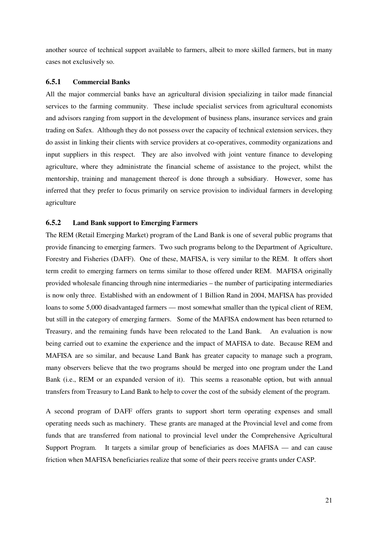another source of technical support available to farmers, albeit to more skilled farmers, but in many cases not exclusively so.

#### **6.5.1 Commercial Banks**

All the major commercial banks have an agricultural division specializing in tailor made financial services to the farming community. These include specialist services from agricultural economists and advisors ranging from support in the development of business plans, insurance services and grain trading on Safex. Although they do not possess over the capacity of technical extension services, they do assist in linking their clients with service providers at co-operatives, commodity organizations and input suppliers in this respect. They are also involved with joint venture finance to developing agriculture, where they administrate the financial scheme of assistance to the project, whilst the mentorship, training and management thereof is done through a subsidiary. However, some has inferred that they prefer to focus primarily on service provision to individual farmers in developing agriculture

#### **6.5.2 Land Bank support to Emerging Farmers**

The REM (Retail Emerging Market) program of the Land Bank is one of several public programs that provide financing to emerging farmers. Two such programs belong to the Department of Agriculture, Forestry and Fisheries (DAFF). One of these, MAFISA, is very similar to the REM. It offers short term credit to emerging farmers on terms similar to those offered under REM. MAFISA originally provided wholesale financing through nine intermediaries – the number of participating intermediaries is now only three. Established with an endowment of 1 Billion Rand in 2004, MAFISA has provided loans to some 5,000 disadvantaged farmers — most somewhat smaller than the typical client of REM, but still in the category of emerging farmers. Some of the MAFISA endowment has been returned to Treasury, and the remaining funds have been relocated to the Land Bank. An evaluation is now being carried out to examine the experience and the impact of MAFISA to date. Because REM and MAFISA are so similar, and because Land Bank has greater capacity to manage such a program, many observers believe that the two programs should be merged into one program under the Land Bank (i.e., REM or an expanded version of it). This seems a reasonable option, but with annual transfers from Treasury to Land Bank to help to cover the cost of the subsidy element of the program.

A second program of DAFF offers grants to support short term operating expenses and small operating needs such as machinery. These grants are managed at the Provincial level and come from funds that are transferred from national to provincial level under the Comprehensive Agricultural Support Program. It targets a similar group of beneficiaries as does MAFISA — and can cause friction when MAFISA beneficiaries realize that some of their peers receive grants under CASP.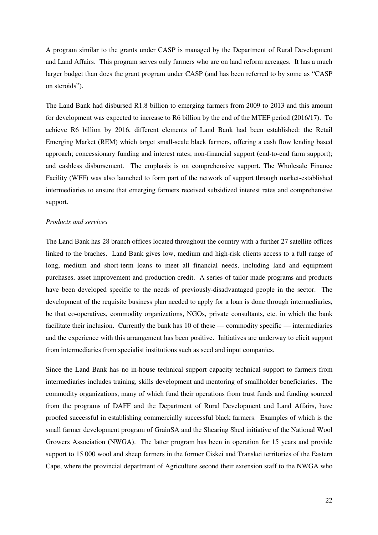A program similar to the grants under CASP is managed by the Department of Rural Development and Land Affairs. This program serves only farmers who are on land reform acreages. It has a much larger budget than does the grant program under CASP (and has been referred to by some as "CASP on steroids").

The Land Bank had disbursed R1.8 billion to emerging farmers from 2009 to 2013 and this amount for development was expected to increase to R6 billion by the end of the MTEF period (2016/17). To achieve R6 billion by 2016, different elements of Land Bank had been established: the Retail Emerging Market (REM) which target small-scale black farmers, offering a cash flow lending based approach; concessionary funding and interest rates; non-financial support (end-to-end farm support); and cashless disbursement. The emphasis is on comprehensive support. The Wholesale Finance Facility (WFF) was also launched to form part of the network of support through market-established intermediaries to ensure that emerging farmers received subsidized interest rates and comprehensive support.

#### *Products and services*

The Land Bank has 28 branch offices located throughout the country with a further 27 satellite offices linked to the braches. Land Bank gives low, medium and high-risk clients access to a full range of long, medium and short-term loans to meet all financial needs, including land and equipment purchases, asset improvement and production credit. A series of tailor made programs and products have been developed specific to the needs of previously-disadvantaged people in the sector. The development of the requisite business plan needed to apply for a loan is done through intermediaries, be that co-operatives, commodity organizations, NGOs, private consultants, etc. in which the bank facilitate their inclusion. Currently the bank has 10 of these — commodity specific — intermediaries and the experience with this arrangement has been positive. Initiatives are underway to elicit support from intermediaries from specialist institutions such as seed and input companies.

Since the Land Bank has no in-house technical support capacity technical support to farmers from intermediaries includes training, skills development and mentoring of smallholder beneficiaries. The commodity organizations, many of which fund their operations from trust funds and funding sourced from the programs of DAFF and the Department of Rural Development and Land Affairs, have proofed successful in establishing commercially successful black farmers. Examples of which is the small farmer development program of GrainSA and the Shearing Shed initiative of the National Wool Growers Association (NWGA). The latter program has been in operation for 15 years and provide support to 15 000 wool and sheep farmers in the former Ciskei and Transkei territories of the Eastern Cape, where the provincial department of Agriculture second their extension staff to the NWGA who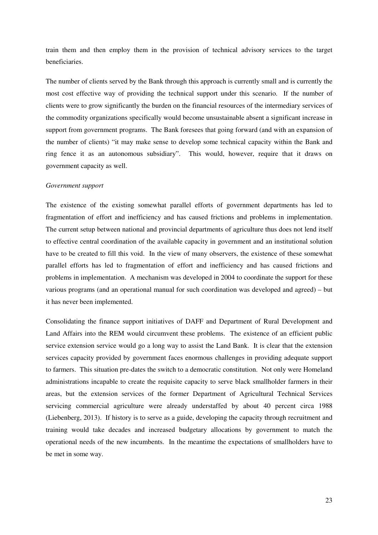train them and then employ them in the provision of technical advisory services to the target beneficiaries.

The number of clients served by the Bank through this approach is currently small and is currently the most cost effective way of providing the technical support under this scenario. If the number of clients were to grow significantly the burden on the financial resources of the intermediary services of the commodity organizations specifically would become unsustainable absent a significant increase in support from government programs. The Bank foresees that going forward (and with an expansion of the number of clients) "it may make sense to develop some technical capacity within the Bank and ring fence it as an autonomous subsidiary". This would, however, require that it draws on government capacity as well.

#### *Government support*

The existence of the existing somewhat parallel efforts of government departments has led to fragmentation of effort and inefficiency and has caused frictions and problems in implementation. The current setup between national and provincial departments of agriculture thus does not lend itself to effective central coordination of the available capacity in government and an institutional solution have to be created to fill this void. In the view of many observers, the existence of these somewhat parallel efforts has led to fragmentation of effort and inefficiency and has caused frictions and problems in implementation. A mechanism was developed in 2004 to coordinate the support for these various programs (and an operational manual for such coordination was developed and agreed) – but it has never been implemented.

Consolidating the finance support initiatives of DAFF and Department of Rural Development and Land Affairs into the REM would circumvent these problems. The existence of an efficient public service extension service would go a long way to assist the Land Bank. It is clear that the extension services capacity provided by government faces enormous challenges in providing adequate support to farmers. This situation pre-dates the switch to a democratic constitution. Not only were Homeland administrations incapable to create the requisite capacity to serve black smallholder farmers in their areas, but the extension services of the former Department of Agricultural Technical Services servicing commercial agriculture were already understaffed by about 40 percent circa 1988 (Liebenberg, 2013). If history is to serve as a guide, developing the capacity through recruitment and training would take decades and increased budgetary allocations by government to match the operational needs of the new incumbents. In the meantime the expectations of smallholders have to be met in some way.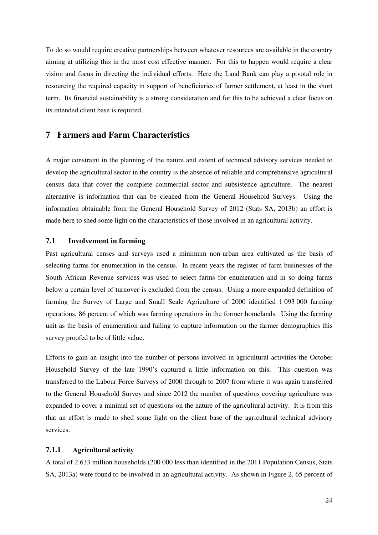To do so would require creative partnerships between whatever resources are available in the country aiming at utilizing this in the most cost effective manner. For this to happen would require a clear vision and focus in directing the individual efforts. Here the Land Bank can play a pivotal role in resourcing the required capacity in support of beneficiaries of farmer settlement, at least in the short term. Its financial sustainability is a strong consideration and for this to be achieved a clear focus on its intended client base is required.

## **7 Farmers and Farm Characteristics**

A major constraint in the planning of the nature and extent of technical advisory services needed to develop the agricultural sector in the country is the absence of reliable and comprehensive agricultural census data that cover the complete commercial sector and subsistence agriculture. The nearest alternative is information that can be cleaned from the General Household Surveys. Using the information obtainable from the General Household Survey of 2012 (Stats SA, 2013b) an effort is made here to shed some light on the characteristics of those involved in an agricultural activity.

#### **7.1 Involvement in farming**

Past agricultural censes and surveys used a minimum non-urban area cultivated as the basis of selecting farms for enumeration in the census. In recent years the register of farm businesses of the South African Revenue services was used to select farms for enumeration and in so doing farms below a certain level of turnover is excluded from the census. Using a more expanded definition of farming the Survey of Large and Small Scale Agriculture of 2000 identified 1 093 000 farming operations, 86 percent of which was farming operations in the former homelands. Using the farming unit as the basis of enumeration and failing to capture information on the farmer demographics this survey proofed to be of little value.

Efforts to gain an insight into the number of persons involved in agricultural activities the October Household Survey of the late 1990's captured a little information on this. This question was transferred to the Labour Force Surveys of 2000 through to 2007 from where it was again transferred to the General Household Survey and since 2012 the number of questions covering agriculture was expanded to cover a minimal set of questions on the nature of the agricultural activity. It is from this that an effort is made to shed some light on the client base of the agricultural technical advisory services.

#### **7.1.1 Agricultural activity**

A total of 2.633 million households (200 000 less than identified in the 2011 Population Census, Stats SA, 2013a) were found to be involved in an agricultural activity. As shown in Figure 2, 65 percent of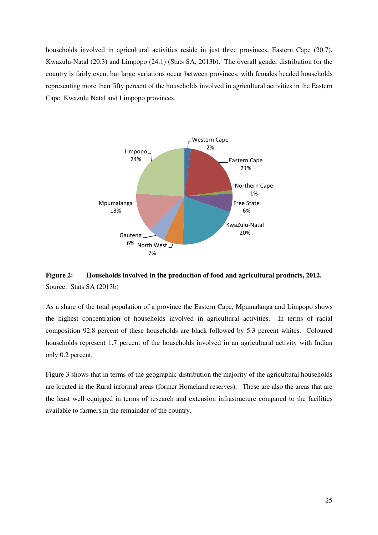households involved in agricultural activities reside in just three provinces, Eastern Cape (20.7), Kwazulu-Natal (20.3) and Limpopo (24.1) (Stats SA, 2013b). The overall gender distribution for the country is fairly even, but large variations occur between provinces, with females headed households representing more than fifty percent of the households involved in agricultural activities in the Eastern Cape, Kwazulu Natal and Limpopo provinces.



**Figure 2: Households involved in the production of food and agricultural products, 2012.**  Source: Stats SA (2013b)

As a share of the total population of a province the Eastern Cape, Mpumalanga and Limpopo shows the highest concentration of households involved in agricultural activities. In terms of racial composition 92.8 percent of these households are black followed by 5.3 percent whites. Coloured households represent 1.7 percent of the households involved in an agricultural activity with Indian only 0.2 percent.

Figure 3 shows that in terms of the geographic distribution the majority of the agricultural households are located in the Rural informal areas (former Homeland reserves), These are also the areas that are the least well equipped in terms of research and extension infrastructure compared to the facilities available to farmers in the remainder of the country.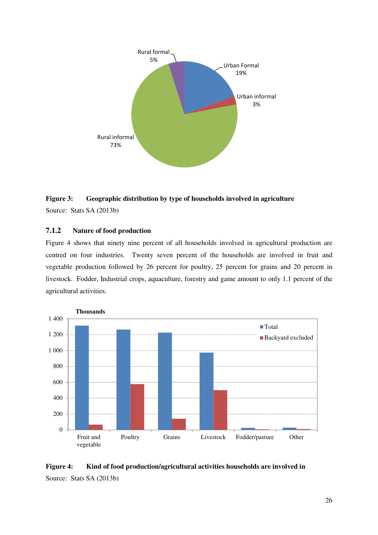

**Figure 3: Geographic distribution by type of households involved in agriculture** 

Source: Stats SA (2013b)

#### **7.1.2 Nature of food production**

Figure 4 shows that ninety nine percent of all households involved in agricultural production are centred on four industries. Twenty seven percent of the households are involved in fruit and vegetable production followed by 26 percent for poultry, 25 percent for grains and 20 percent in livestock. Fodder, Industrial crops, aquaculture, forestry and game amount to only 1.1 percent of the agricultural activities.



**Figure 4: Kind of food production/agricultural activities households are involved in**  Source: Stats SA (2013b)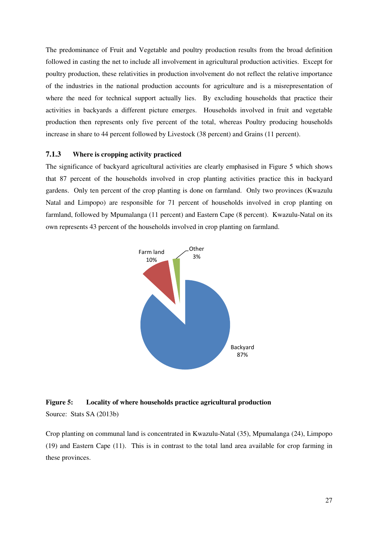The predominance of Fruit and Vegetable and poultry production results from the broad definition followed in casting the net to include all involvement in agricultural production activities. Except for poultry production, these relativities in production involvement do not reflect the relative importance of the industries in the national production accounts for agriculture and is a misrepresentation of where the need for technical support actually lies. By excluding households that practice their activities in backyards a different picture emerges. Households involved in fruit and vegetable production then represents only five percent of the total, whereas Poultry producing households increase in share to 44 percent followed by Livestock (38 percent) and Grains (11 percent).

#### **7.1.3 Where is cropping activity practiced**

The significance of backyard agricultural activities are clearly emphasised in Figure 5 which shows that 87 percent of the households involved in crop planting activities practice this in backyard gardens. Only ten percent of the crop planting is done on farmland. Only two provinces (Kwazulu Natal and Limpopo) are responsible for 71 percent of households involved in crop planting on farmland, followed by Mpumalanga (11 percent) and Eastern Cape (8 percent). Kwazulu-Natal on its own represents 43 percent of the households involved in crop planting on farmland.



#### **Figure 5: Locality of where households practice agricultural production**

Source: Stats SA (2013b)

Crop planting on communal land is concentrated in Kwazulu-Natal (35), Mpumalanga (24), Limpopo (19) and Eastern Cape (11). This is in contrast to the total land area available for crop farming in these provinces.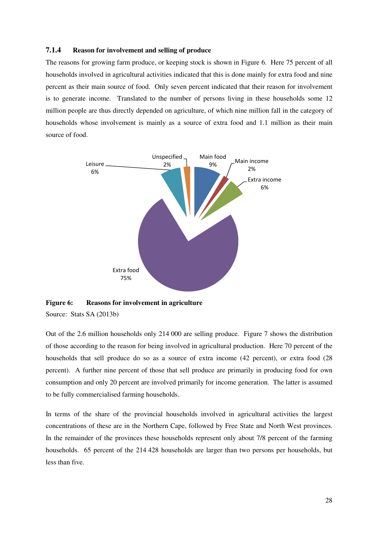#### **7.1.4 Reason for involvement and selling of produce**

The reasons for growing farm produce, or keeping stock is shown in Figure 6. Here 75 percent of all households involved in agricultural activities indicated that this is done mainly for extra food and nine percent as their main source of food. Only seven percent indicated that their reason for involvement is to generate income. Translated to the number of persons living in these households some 12 million people are thus directly depended on agriculture, of which nine million fall in the category of households whose involvement is mainly as a source of extra food and 1.1 million as their main source of food.



**Figure 6: Reasons for involvement in agriculture** 

Source: Stats SA (2013b)

Out of the 2.6 million households only 214 000 are selling produce. Figure 7 shows the distribution of those according to the reason for being involved in agricultural production. Here 70 percent of the households that sell produce do so as a source of extra income (42 percent), or extra food (28 percent). A further nine percent of those that sell produce are primarily in producing food for own consumption and only 20 percent are involved primarily for income generation. The latter is assumed to be fully commercialised farming households.

In terms of the share of the provincial households involved in agricultural activities the largest concentrations of these are in the Northern Cape, followed by Free State and North West provinces. In the remainder of the provinces these households represent only about 7/8 percent of the farming households. 65 percent of the 214 428 households are larger than two persons per households, but less than five.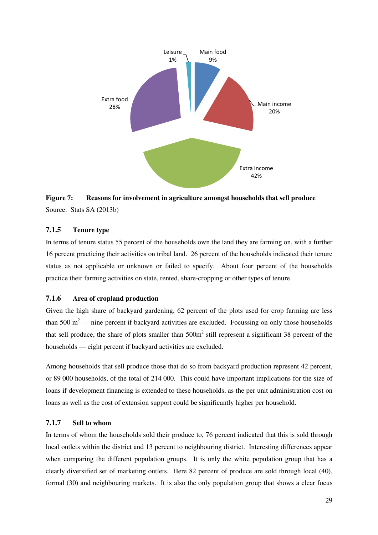

**Figure 7: Reasons for involvement in agriculture amongst households that sell produce**  Source: Stats SA (2013b)

#### **7.1.5 Tenure type**

In terms of tenure status 55 percent of the households own the land they are farming on, with a further 16 percent practicing their activities on tribal land. 26 percent of the households indicated their tenure status as not applicable or unknown or failed to specify. About four percent of the households practice their farming activities on state, rented, share-cropping or other types of tenure.

#### **7.1.6 Area of cropland production**

Given the high share of backyard gardening, 62 percent of the plots used for crop farming are less than 500  $m^2$  — nine percent if backyard activities are excluded. Focussing on only those households that sell produce, the share of plots smaller than  $500m<sup>2</sup>$  still represent a significant 38 percent of the households — eight percent if backyard activities are excluded.

Among households that sell produce those that do so from backyard production represent 42 percent, or 89 000 households, of the total of 214 000. This could have important implications for the size of loans if development financing is extended to these households, as the per unit administration cost on loans as well as the cost of extension support could be significantly higher per household.

#### **7.1.7 Sell to whom**

In terms of whom the households sold their produce to, 76 percent indicated that this is sold through local outlets within the district and 13 percent to neighbouring district. Interesting differences appear when comparing the different population groups. It is only the white population group that has a clearly diversified set of marketing outlets. Here 82 percent of produce are sold through local (40), formal (30) and neighbouring markets. It is also the only population group that shows a clear focus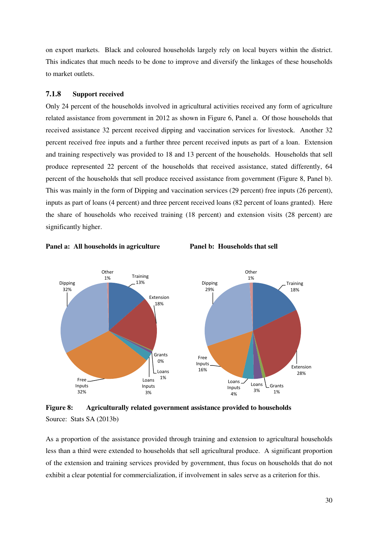on export markets. Black and coloured households largely rely on local buyers within the district. This indicates that much needs to be done to improve and diversify the linkages of these households to market outlets.

#### **7.1.8 Support received**

Only 24 percent of the households involved in agricultural activities received any form of agriculture related assistance from government in 2012 as shown in Figure 6, Panel a. Of those households that received assistance 32 percent received dipping and vaccination services for livestock. Another 32 percent received free inputs and a further three percent received inputs as part of a loan. Extension and training respectively was provided to 18 and 13 percent of the households. Households that sell produce represented 22 percent of the households that received assistance, stated differently, 64 percent of the households that sell produce received assistance from government (Figure 8, Panel b). This was mainly in the form of Dipping and vaccination services (29 percent) free inputs (26 percent), inputs as part of loans (4 percent) and three percent received loans (82 percent of loans granted). Here the share of households who received training (18 percent) and extension visits (28 percent) are significantly higher.







**Figure 8: Agriculturally related government assistance provided to households**  Source: Stats SA (2013b)

As a proportion of the assistance provided through training and extension to agricultural households less than a third were extended to households that sell agricultural produce. A significant proportion of the extension and training services provided by government, thus focus on households that do not exhibit a clear potential for commercialization, if involvement in sales serve as a criterion for this.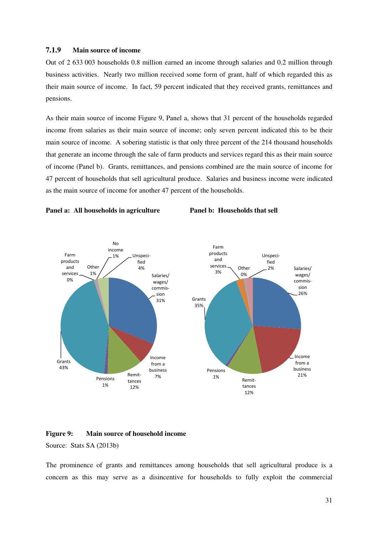#### **7.1.9 Main source of income**

Out of 2 633 003 households 0.8 million earned an income through salaries and 0.2 million through business activities. Nearly two million received some form of grant, half of which regarded this as their main source of income. In fact, 59 percent indicated that they received grants, remittances and pensions.

As their main source of income Figure 9, Panel a, shows that 31 percent of the households regarded income from salaries as their main source of income; only seven percent indicated this to be their main source of income. A sobering statistic is that only three percent of the 214 thousand households that generate an income through the sale of farm products and services regard this as their main source of income (Panel b). Grants, remittances, and pensions combined are the main source of income for 47 percent of households that sell agricultural produce. Salaries and business income were indicated as the main source of income for another 47 percent of the households.





#### **Figure 9: Main source of household income**

Source: Stats SA (2013b)

The prominence of grants and remittances among households that sell agricultural produce is a concern as this may serve as a disincentive for households to fully exploit the commercial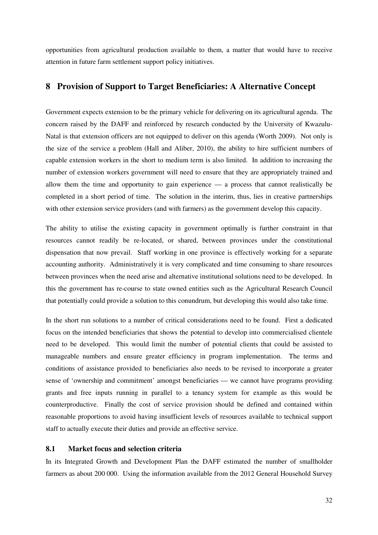opportunities from agricultural production available to them, a matter that would have to receive attention in future farm settlement support policy initiatives.

## **8 Provision of Support to Target Beneficiaries: A Alternative Concept**

Government expects extension to be the primary vehicle for delivering on its agricultural agenda. The concern raised by the DAFF and reinforced by research conducted by the University of Kwazulu-Natal is that extension officers are not equipped to deliver on this agenda (Worth 2009). Not only is the size of the service a problem (Hall and Aliber, 2010), the ability to hire sufficient numbers of capable extension workers in the short to medium term is also limited. In addition to increasing the number of extension workers government will need to ensure that they are appropriately trained and allow them the time and opportunity to gain experience — a process that cannot realistically be completed in a short period of time. The solution in the interim, thus, lies in creative partnerships with other extension service providers (and with farmers) as the government develop this capacity.

The ability to utilise the existing capacity in government optimally is further constraint in that resources cannot readily be re-located, or shared, between provinces under the constitutional dispensation that now prevail. Staff working in one province is effectively working for a separate accounting authority. Administratively it is very complicated and time consuming to share resources between provinces when the need arise and alternative institutional solutions need to be developed. In this the government has re-course to state owned entities such as the Agricultural Research Council that potentially could provide a solution to this conundrum, but developing this would also take time.

In the short run solutions to a number of critical considerations need to be found. First a dedicated focus on the intended beneficiaries that shows the potential to develop into commercialised clientele need to be developed. This would limit the number of potential clients that could be assisted to manageable numbers and ensure greater efficiency in program implementation. The terms and conditions of assistance provided to beneficiaries also needs to be revised to incorporate a greater sense of 'ownership and commitment' amongst beneficiaries — we cannot have programs providing grants and free inputs running in parallel to a tenancy system for example as this would be counterproductive. Finally the cost of service provision should be defined and contained within reasonable proportions to avoid having insufficient levels of resources available to technical support staff to actually execute their duties and provide an effective service.

#### **8.1 Market focus and selection criteria**

In its Integrated Growth and Development Plan the DAFF estimated the number of smallholder farmers as about 200 000. Using the information available from the 2012 General Household Survey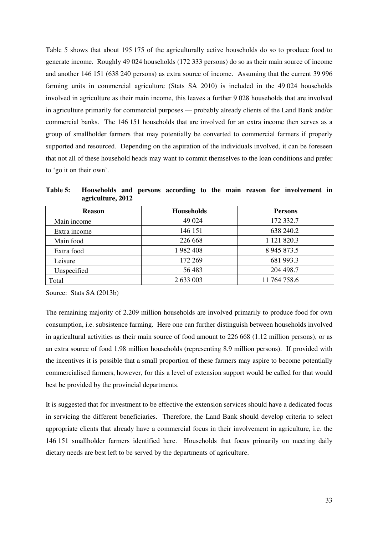Table 5 shows that about 195 175 of the agriculturally active households do so to produce food to generate income. Roughly 49 024 households (172 333 persons) do so as their main source of income and another 146 151 (638 240 persons) as extra source of income. Assuming that the current 39 996 farming units in commercial agriculture (Stats SA 2010) is included in the 49 024 households involved in agriculture as their main income, this leaves a further 9 028 households that are involved in agriculture primarily for commercial purposes — probably already clients of the Land Bank and/or commercial banks. The 146 151 households that are involved for an extra income then serves as a group of smallholder farmers that may potentially be converted to commercial farmers if properly supported and resourced. Depending on the aspiration of the individuals involved, it can be foreseen that not all of these household heads may want to commit themselves to the loan conditions and prefer to 'go it on their own'.

| <b>Reason</b> | <b>Households</b> | <b>Persons</b> |
|---------------|-------------------|----------------|
| Main income   | 49 0 24           | 172 332.7      |
| Extra income  | 146 151           | 638 240.2      |
| Main food     | 226 668           | 1 121 820.3    |
| Extra food    | 1982408           | 8 9 45 8 7 3.5 |
| Leisure       | 172 269           | 681 993.3      |
| Unspecified   | 56 483            | 204 498.7      |
| Total         | 2 633 003         | 11 764 758.6   |

**Table 5: Households and persons according to the main reason for involvement in agriculture, 2012** 

Source: Stats SA (2013b)

The remaining majority of 2.209 million households are involved primarily to produce food for own consumption, i.e. subsistence farming. Here one can further distinguish between households involved in agricultural activities as their main source of food amount to 226 668 (1.12 million persons), or as an extra source of food 1.98 million households (representing 8.9 million persons). If provided with the incentives it is possible that a small proportion of these farmers may aspire to become potentially commercialised farmers, however, for this a level of extension support would be called for that would best be provided by the provincial departments.

It is suggested that for investment to be effective the extension services should have a dedicated focus in servicing the different beneficiaries. Therefore, the Land Bank should develop criteria to select appropriate clients that already have a commercial focus in their involvement in agriculture, i.e. the 146 151 smallholder farmers identified here. Households that focus primarily on meeting daily dietary needs are best left to be served by the departments of agriculture.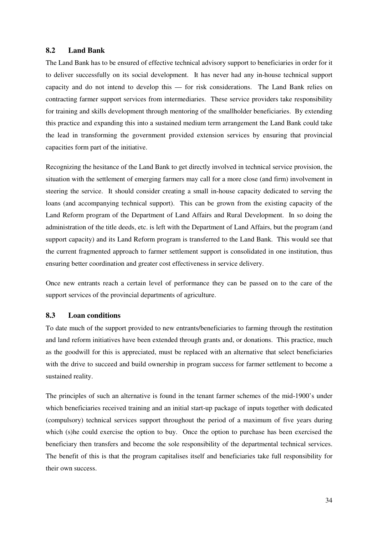#### **8.2 Land Bank**

The Land Bank has to be ensured of effective technical advisory support to beneficiaries in order for it to deliver successfully on its social development. It has never had any in-house technical support capacity and do not intend to develop this — for risk considerations. The Land Bank relies on contracting farmer support services from intermediaries. These service providers take responsibility for training and skills development through mentoring of the smallholder beneficiaries. By extending this practice and expanding this into a sustained medium term arrangement the Land Bank could take the lead in transforming the government provided extension services by ensuring that provincial capacities form part of the initiative.

Recognizing the hesitance of the Land Bank to get directly involved in technical service provision, the situation with the settlement of emerging farmers may call for a more close (and firm) involvement in steering the service. It should consider creating a small in-house capacity dedicated to serving the loans (and accompanying technical support). This can be grown from the existing capacity of the Land Reform program of the Department of Land Affairs and Rural Development. In so doing the administration of the title deeds, etc. is left with the Department of Land Affairs, but the program (and support capacity) and its Land Reform program is transferred to the Land Bank. This would see that the current fragmented approach to farmer settlement support is consolidated in one institution, thus ensuring better coordination and greater cost effectiveness in service delivery.

Once new entrants reach a certain level of performance they can be passed on to the care of the support services of the provincial departments of agriculture.

#### **8.3 Loan conditions**

To date much of the support provided to new entrants/beneficiaries to farming through the restitution and land reform initiatives have been extended through grants and, or donations. This practice, much as the goodwill for this is appreciated, must be replaced with an alternative that select beneficiaries with the drive to succeed and build ownership in program success for farmer settlement to become a sustained reality.

The principles of such an alternative is found in the tenant farmer schemes of the mid-1900's under which beneficiaries received training and an initial start-up package of inputs together with dedicated (compulsory) technical services support throughout the period of a maximum of five years during which (s)he could exercise the option to buy. Once the option to purchase has been exercised the beneficiary then transfers and become the sole responsibility of the departmental technical services. The benefit of this is that the program capitalises itself and beneficiaries take full responsibility for their own success.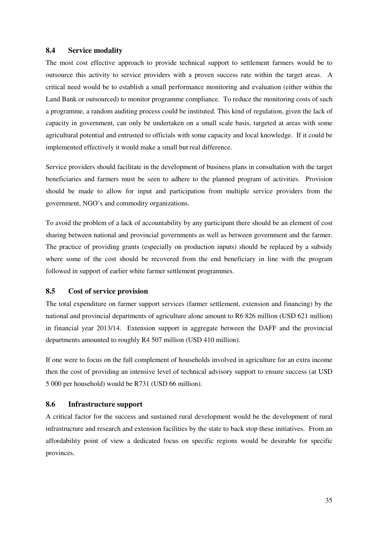#### **8.4 Service modality**

The most cost effective approach to provide technical support to settlement farmers would be to outsource this activity to service providers with a proven success rate within the target areas. A critical need would be to establish a small performance monitoring and evaluation (either within the Land Bank or outsourced) to monitor programme compliance. To reduce the monitoring costs of such a programme, a random auditing process could be instituted. This kind of regulation, given the lack of capacity in government, can only be undertaken on a small scale basis, targeted at areas with some agricultural potential and entrusted to officials with some capacity and local knowledge. If it could be implemented effectively it would make a small but real difference.

Service providers should facilitate in the development of business plans in consultation with the target beneficiaries and farmers must be seen to adhere to the planned program of activities. Provision should be made to allow for input and participation from multiple service providers from the government, NGO's and commodity organizations.

To avoid the problem of a lack of accountability by any participant there should be an element of cost sharing between national and provincial governments as well as between government and the farmer. The practice of providing grants (especially on production inputs) should be replaced by a subsidy where some of the cost should be recovered from the end beneficiary in line with the program followed in support of earlier white farmer settlement programmes.

#### **8.5 Cost of service provision**

The total expenditure on farmer support services (farmer settlement, extension and financing) by the national and provincial departments of agriculture alone amount to R6 826 million (USD 621 million) in financial year 2013/14. Extension support in aggregate between the DAFF and the provincial departments amounted to roughly R4 507 million (USD 410 million).

If one were to focus on the full complement of households involved in agriculture for an extra income then the cost of providing an intensive level of technical advisory support to ensure success (at USD 5 000 per household) would be R731 (USD 66 million).

#### **8.6 Infrastructure support**

A critical factor for the success and sustained rural development would be the development of rural infrastructure and research and extension facilities by the state to back stop these initiatives. From an affordability point of view a dedicated focus on specific regions would be desirable for specific provinces.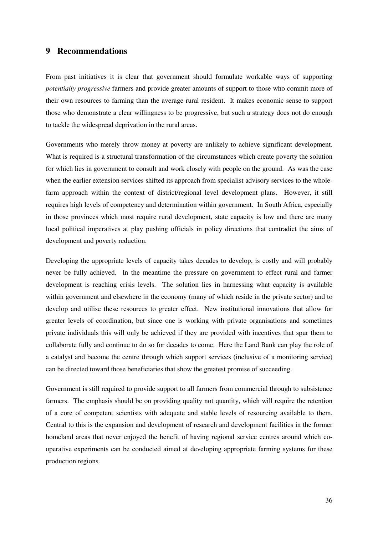## **9 Recommendations**

From past initiatives it is clear that government should formulate workable ways of supporting *potentially progressive* farmers and provide greater amounts of support to those who commit more of their own resources to farming than the average rural resident. It makes economic sense to support those who demonstrate a clear willingness to be progressive, but such a strategy does not do enough to tackle the widespread deprivation in the rural areas.

Governments who merely throw money at poverty are unlikely to achieve significant development. What is required is a structural transformation of the circumstances which create poverty the solution for which lies in government to consult and work closely with people on the ground. As was the case when the earlier extension services shifted its approach from specialist advisory services to the wholefarm approach within the context of district/regional level development plans. However, it still requires high levels of competency and determination within government. In South Africa, especially in those provinces which most require rural development, state capacity is low and there are many local political imperatives at play pushing officials in policy directions that contradict the aims of development and poverty reduction.

Developing the appropriate levels of capacity takes decades to develop, is costly and will probably never be fully achieved. In the meantime the pressure on government to effect rural and farmer development is reaching crisis levels. The solution lies in harnessing what capacity is available within government and elsewhere in the economy (many of which reside in the private sector) and to develop and utilise these resources to greater effect. New institutional innovations that allow for greater levels of coordination, but since one is working with private organisations and sometimes private individuals this will only be achieved if they are provided with incentives that spur them to collaborate fully and continue to do so for decades to come. Here the Land Bank can play the role of a catalyst and become the centre through which support services (inclusive of a monitoring service) can be directed toward those beneficiaries that show the greatest promise of succeeding.

Government is still required to provide support to all farmers from commercial through to subsistence farmers. The emphasis should be on providing quality not quantity, which will require the retention of a core of competent scientists with adequate and stable levels of resourcing available to them. Central to this is the expansion and development of research and development facilities in the former homeland areas that never enjoyed the benefit of having regional service centres around which cooperative experiments can be conducted aimed at developing appropriate farming systems for these production regions.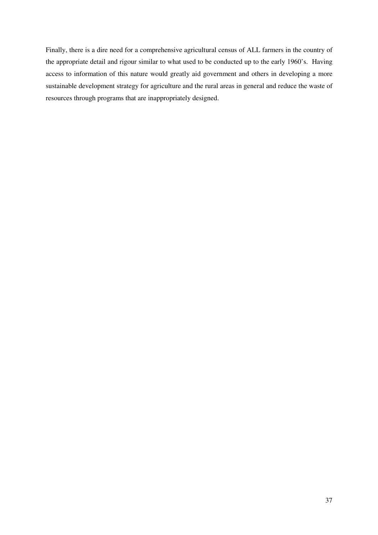Finally, there is a dire need for a comprehensive agricultural census of ALL farmers in the country of the appropriate detail and rigour similar to what used to be conducted up to the early 1960's. Having access to information of this nature would greatly aid government and others in developing a more sustainable development strategy for agriculture and the rural areas in general and reduce the waste of resources through programs that are inappropriately designed.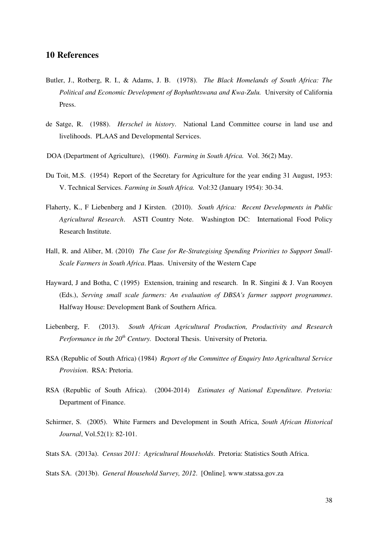## **10 References**

- Butler, J., Rotberg, R. I., & Adams, J. B. (1978). *The Black Homelands of South Africa: The Political and Economic Development of Bophuthtswana and Kwa-Zulu.* University of California Press.
- de Satge, R. (1988). *Herschel in history*. National Land Committee course in land use and livelihoods. PLAAS and Developmental Services.
- DOA (Department of Agriculture), (1960). *Farming in South Africa.* Vol. 36(2) May.
- Du Toit, M.S. (1954) Report of the Secretary for Agriculture for the year ending 31 August, 1953: V. Technical Services. *Farming in South Africa.* Vol:32 (January 1954): 30-34.
- Flaherty, K., F Liebenberg and J Kirsten. (2010). *South Africa: Recent Developments in Public Agricultural Research*. ASTI Country Note. Washington DC: International Food Policy Research Institute.
- Hall, R. and Aliber, M. (2010) *The Case for Re-Strategising Spending Priorities to Support Small-Scale Farmers in South Africa*. Plaas. University of the Western Cape
- Hayward, J and Botha, C (1995) Extension, training and research. In R. Singini & J. Van Rooyen (Eds.), *Serving small scale farmers: An evaluation of DBSA's farmer support programmes*. Halfway House: Development Bank of Southern Africa.
- Liebenberg, F. (2013). *South African Agricultural Production, Productivity and Research Performance in the 20<sup>th</sup> Century.* Doctoral Thesis. University of Pretoria.
- RSA (Republic of South Africa) (1984) *Report of the Committee of Enquiry Into Agricultural Service Provision*. RSA: Pretoria.
- RSA (Republic of South Africa). (2004-2014) *Estimates of National Expenditure. Pretoria:*  Department of Finance.
- Schirmer, S. (2005). White Farmers and Development in South Africa, *South African Historical Journal*, Vol.52(1): 82-101.
- Stats SA. (2013a). *Census 2011: Agricultural Households*. Pretoria: Statistics South Africa.
- Stats SA. (2013b). *General Household Survey, 2012*. [Online]. www.statssa.gov.za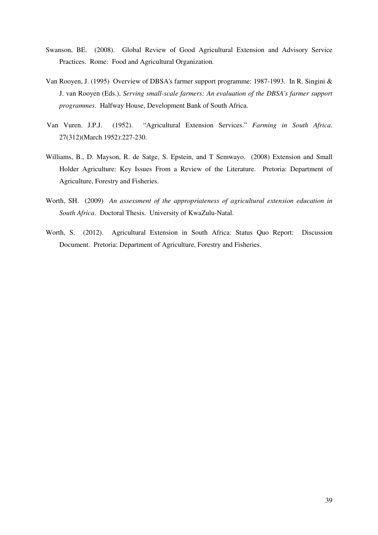- Swanson, BE. (2008). Global Review of Good Agricultural Extension and Advisory Service Practices. Rome: Food and Agricultural Organization.
- Van Rooyen, J. (1995) Overview of DBSA's farmer support programme: 1987-1993. In R. Singini & J. van Rooyen (Eds.), *Serving small-scale farmers: An evaluation of the DBSA's farmer support programmes*. Halfway House, Development Bank of South Africa.
- Van Vuren. J.P.J. (1952). "Agricultural Extension Services." *Farming in South Africa*. 27(312)(March 1952):227-230.
- Williams, B., D. Mayson, R. de Satge, S. Epstein, and T Semwayo. (2008) Extension and Small Holder Agriculture: Key Issues From a Review of the Literature. Pretoria: Department of Agriculture, Forestry and Fisheries.
- Worth, SH. (2009) *An assessment of the appropriateness of agricultural extension education in South Africa*. Doctoral Thesis. University of KwaZulu-Natal.
- Worth, S. (2012). Agricultural Extension in South Africa: Status Quo Report: Discussion Document. Pretoria: Department of Agriculture, Forestry and Fisheries.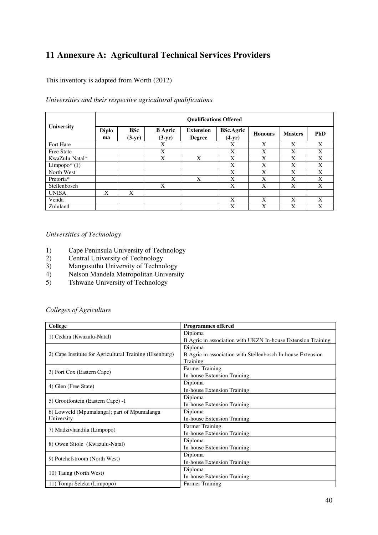# **11 Annexure A: Agricultural Technical Services Providers**

This inventory is adapted from Worth (2012)

|                   |                    |                        |                            | <b>Qualifications Offered</b>     |                              |                |                |            |
|-------------------|--------------------|------------------------|----------------------------|-----------------------------------|------------------------------|----------------|----------------|------------|
| University        | <b>Diplo</b><br>ma | <b>BSc</b><br>$(3-yr)$ | <b>B</b> Agric<br>$(3-yr)$ | <b>Extension</b><br><b>Degree</b> | <b>BSc.Agric</b><br>$(4-yr)$ | <b>Honours</b> | <b>Masters</b> | <b>PhD</b> |
| Fort Hare         |                    |                        | X                          |                                   | X                            | X              | X              | X          |
| <b>Free State</b> |                    |                        | X                          |                                   | X                            | X              | X              | X          |
| KwaZulu-Natal*    |                    |                        | X                          | X                                 | X                            | X              | X              | X          |
| $Limpopo*(1)$     |                    |                        |                            |                                   | X                            | X              | X              | X          |
| North West        |                    |                        |                            |                                   | X                            | X              | X              | X          |
| Pretoria*         |                    |                        |                            | X                                 | X                            | X              | X              | X          |
| Stellenbosch      |                    |                        | X                          |                                   | X                            | X              | X              | X          |
| <b>UNISA</b>      | X                  | X                      |                            |                                   |                              |                |                |            |
| Venda             |                    |                        |                            |                                   | X                            | X              | X              | X          |
| Zululand          |                    |                        |                            |                                   | X                            | X              | X              | X          |

*Universities and their respective agricultural qualifications* 

## *Universities of Technology*

- 1) Cape Peninsula University of Technology<br>2) Central University of Technology
- 2) Central University of Technology
- 3) Mangosuthu University of Technology
- 4) Nelson Mandela Metropolitan University
- 5) Tshwane University of Technology

#### *Colleges of Agriculture*

| College                                                                                                                                                                                                                                                                                                      | <b>Programmes offered</b>                                    |
|--------------------------------------------------------------------------------------------------------------------------------------------------------------------------------------------------------------------------------------------------------------------------------------------------------------|--------------------------------------------------------------|
|                                                                                                                                                                                                                                                                                                              | Diploma                                                      |
|                                                                                                                                                                                                                                                                                                              | B Agric in association with UKZN In-house Extension Training |
|                                                                                                                                                                                                                                                                                                              | Diploma                                                      |
| 2) Cape Institute for Agricultural Training (Elsenburg)                                                                                                                                                                                                                                                      | B Agric in association with Stellenbosch In-house Extension  |
|                                                                                                                                                                                                                                                                                                              | Training                                                     |
|                                                                                                                                                                                                                                                                                                              | <b>Farmer Training</b>                                       |
| 1) Cedara (Kwazulu-Natal)<br>3) Fort Cox (Eastern Cape)<br>4) Glen (Free State)<br>5) Grootfontein (Eastern Cape) -1<br>6) Lowveld (Mpumalanga); part of Mpumalanga<br>University<br>7) Madzivhandila (Limpopo)<br>8) Owen Sitole (Kwazulu-Natal)<br>9) Potchefstroom (North West)<br>10) Taung (North West) | In-house Extension Training                                  |
|                                                                                                                                                                                                                                                                                                              | Diploma                                                      |
|                                                                                                                                                                                                                                                                                                              | In-house Extension Training                                  |
|                                                                                                                                                                                                                                                                                                              | Diploma                                                      |
|                                                                                                                                                                                                                                                                                                              | In-house Extension Training                                  |
|                                                                                                                                                                                                                                                                                                              | Diploma                                                      |
|                                                                                                                                                                                                                                                                                                              | In-house Extension Training                                  |
|                                                                                                                                                                                                                                                                                                              | Farmer Training                                              |
|                                                                                                                                                                                                                                                                                                              | In-house Extension Training                                  |
|                                                                                                                                                                                                                                                                                                              | Diploma                                                      |
|                                                                                                                                                                                                                                                                                                              | In-house Extension Training                                  |
|                                                                                                                                                                                                                                                                                                              | Diploma                                                      |
|                                                                                                                                                                                                                                                                                                              | In-house Extension Training                                  |
|                                                                                                                                                                                                                                                                                                              | Diploma                                                      |
|                                                                                                                                                                                                                                                                                                              | In-house Extension Training                                  |
| 11) Tompi Seleka (Limpopo)                                                                                                                                                                                                                                                                                   | Farmer Training                                              |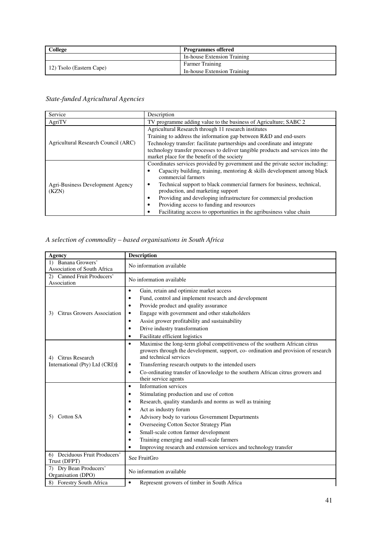| College                  | <b>Programmes offered</b>   |
|--------------------------|-----------------------------|
|                          | In-house Extension Training |
|                          | <b>Farmer Training</b>      |
| 12) Tsolo (Eastern Cape) | In-house Extension Training |

## *State-funded Agricultural Agencies*

| Service                             | Description                                                                      |  |
|-------------------------------------|----------------------------------------------------------------------------------|--|
| AgriTV                              | TV programme adding value to the business of Agriculture; SABC 2                 |  |
|                                     | Agricultural Research through 11 research institutes                             |  |
|                                     | Training to address the information gap between R&D and end-users                |  |
| Agricultural Research Council (ARC) | Technology transfer: facilitate partnerships and coordinate and integrate        |  |
|                                     | technology transfer processes to deliver tangible products and services into the |  |
|                                     | market place for the benefit of the society                                      |  |
|                                     | Coordinates services provided by government and the private sector including:    |  |
|                                     | Capacity building, training, mentoring $&$ skills development among black        |  |
|                                     | commercial farmers                                                               |  |
| Agri-Business Development Agency    | Technical support to black commercial farmers for business, technical,<br>٠      |  |
| (KZN)                               | production, and marketing support                                                |  |
|                                     | Providing and developing infrastructure for commercial production<br>٠           |  |
|                                     | Providing access to funding and resources                                        |  |
|                                     | Facilitating access to opportunities in the agribusiness value chain             |  |

## *A selection of commodity – based organisations in South Africa*

| Agency                                                   | <b>Description</b>                                                                                                                                                                                                                                                                                                                                                                                                                                                      |
|----------------------------------------------------------|-------------------------------------------------------------------------------------------------------------------------------------------------------------------------------------------------------------------------------------------------------------------------------------------------------------------------------------------------------------------------------------------------------------------------------------------------------------------------|
| 1) Banana Growers'<br><b>Association of South Africa</b> | No information available                                                                                                                                                                                                                                                                                                                                                                                                                                                |
| 2) Canned Fruit Producers'<br>Association                | No information available                                                                                                                                                                                                                                                                                                                                                                                                                                                |
| Citrus Growers Association<br>3)                         | Gain, retain and optimize market access<br>$\bullet$<br>Fund, control and implement research and development<br>٠<br>Provide product and quality assurance<br>$\bullet$<br>Engage with government and other stakeholders<br>٠<br>Assist grower profitability and sustainability<br>$\bullet$<br>Drive industry transformation<br>$\bullet$<br>Facilitate efficient logistics<br>٠                                                                                       |
| Citrus Research<br>4)<br>International (Pty) Ltd (CRI)§  | Maximise the long-term global competitiveness of the southern African citrus<br>$\bullet$<br>growers through the development, support, co- ordination and provision of research<br>and technical services<br>Transferring research outputs to the intended users<br>٠<br>Co-ordinating transfer of knowledge to the southern African citrus growers and<br>$\bullet$<br>their service agents                                                                            |
| Cotton SA<br>5)                                          | Information services<br>$\bullet$<br>Stimulating production and use of cotton<br>$\bullet$<br>Research, quality standards and norms as well as training<br>٠<br>Act as industry forum<br>Advisory body to various Government Departments<br>Overseeing Cotton Sector Strategy Plan<br>$\bullet$<br>Small-scale cotton farmer development<br>$\bullet$<br>Training emerging and small-scale farmers<br>Improving research and extension services and technology transfer |
| 6) Deciduous Fruit Producers'<br>Trust (DFPT)            | See FruitGro                                                                                                                                                                                                                                                                                                                                                                                                                                                            |
| 7) Dry Bean Producers'<br>Organisation (DPO)             | No information available                                                                                                                                                                                                                                                                                                                                                                                                                                                |
| 8) Forestry South Africa                                 | Represent growers of timber in South Africa<br>$\bullet$                                                                                                                                                                                                                                                                                                                                                                                                                |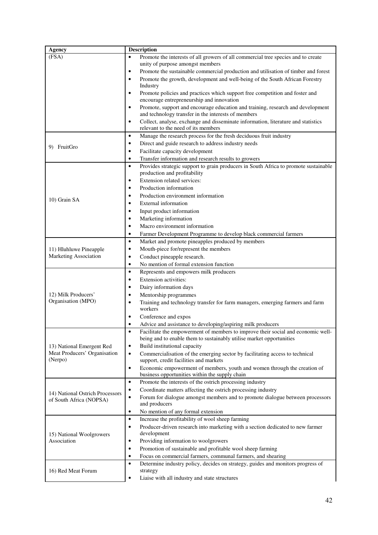| <b>Agency</b>                   | <b>Description</b>                                                                                                                              |
|---------------------------------|-------------------------------------------------------------------------------------------------------------------------------------------------|
| (FSA)                           | Promote the interests of all growers of all commercial tree species and to create<br>$\bullet$                                                  |
|                                 | unity of purpose amongst members                                                                                                                |
|                                 | Promote the sustainable commercial production and utilisation of timber and forest<br>٠                                                         |
|                                 | Promote the growth, development and well-being of the South African Forestry<br>$\bullet$                                                       |
|                                 | Industry                                                                                                                                        |
|                                 | Promote policies and practices which support free competition and foster and<br>٠                                                               |
|                                 | encourage entrepreneurship and innovation                                                                                                       |
|                                 | Promote, support and encourage education and training, research and development<br>$\bullet$                                                    |
|                                 | and technology transfer in the interests of members                                                                                             |
|                                 | Collect, analyse, exchange and disseminate information, literature and statistics<br>$\bullet$                                                  |
|                                 | relevant to the need of its members                                                                                                             |
|                                 | Manage the research process for the fresh deciduous fruit industry<br>$\bullet$                                                                 |
|                                 | Direct and guide research to address industry needs<br>$\bullet$                                                                                |
| 9) FruitGro                     | Facilitate capacity development<br>$\bullet$                                                                                                    |
|                                 | Transfer information and research results to growers<br>$\bullet$                                                                               |
|                                 | Provides strategic support to grain producers in South Africa to promote sustainable<br>$\bullet$                                               |
|                                 | production and profitability                                                                                                                    |
|                                 | Extension related services:<br>٠                                                                                                                |
|                                 |                                                                                                                                                 |
|                                 | Production information<br>$\bullet$                                                                                                             |
| 10) Grain SA                    | Production environment information<br>$\bullet$                                                                                                 |
|                                 | <b>External</b> information<br>٠                                                                                                                |
|                                 | Input product information<br>$\bullet$                                                                                                          |
|                                 | Marketing information<br>$\bullet$                                                                                                              |
|                                 | Macro environment information<br>$\bullet$                                                                                                      |
|                                 | Farmer Development Programme to develop black commercial farmers<br>$\bullet$                                                                   |
|                                 | Market and promote pineapples produced by members<br>$\bullet$                                                                                  |
| 11) Hluhluwe Pineapple          | Mouth-piece for/represent the members<br>$\bullet$                                                                                              |
| Marketing Association           | Conduct pineapple research.<br>$\bullet$                                                                                                        |
|                                 | No mention of formal extension function<br>$\bullet$                                                                                            |
|                                 | $\bullet$<br>Represents and empowers milk producers                                                                                             |
|                                 | Extension activities:<br>$\bullet$                                                                                                              |
|                                 | Dairy information days<br>٠                                                                                                                     |
| 12) Milk Producers'             | Mentorship programmes<br>٠                                                                                                                      |
| Organisation (MPO)              | Training and technology transfer for farm managers, emerging farmers and farm<br>$\bullet$                                                      |
|                                 | workers                                                                                                                                         |
|                                 | Conference and expos<br>٠                                                                                                                       |
|                                 |                                                                                                                                                 |
|                                 | Advice and assistance to developing/aspiring milk producers<br>Facilitate the empowerment of members to improve their social and economic well- |
|                                 | being and to enable them to sustainably utilise market opportunities                                                                            |
|                                 | Build institutional capacity<br>$\bullet$                                                                                                       |
| 13) National Emergent Red       |                                                                                                                                                 |
| Meat Producers' Organisation    | Commercialisation of the emerging sector by facilitating access to technical<br>$\bullet$                                                       |
| (Nerpo)                         | support, credit facilities and markets                                                                                                          |
|                                 | Economic empowerment of members, youth and women through the creation of<br>$\bullet$<br>business opportunities within the supply chain         |
|                                 | Promote the interests of the ostrich processing industry<br>$\bullet$                                                                           |
|                                 |                                                                                                                                                 |
| 14) National Ostrich Processors | Coordinate matters affecting the ostrich processing industry<br>$\bullet$                                                                       |
| of South Africa (NOPSA)         | Forum for dialogue amongst members and to promote dialogue between processors<br>$\bullet$<br>and producers                                     |
|                                 |                                                                                                                                                 |
|                                 | No mention of any formal extension<br>$\bullet$                                                                                                 |
|                                 | Increase the profitability of wool sheep farming<br>$\bullet$                                                                                   |
|                                 | Producer-driven research into marketing with a section dedicated to new farmer<br>$\bullet$                                                     |
| 15) National Woolgrowers        | development                                                                                                                                     |
| Association                     | Providing information to woolgrowers<br>$\bullet$                                                                                               |
|                                 | Promotion of sustainable and profitable wool sheep farming<br>$\bullet$                                                                         |
|                                 | Focus on commercial farmers, communal farmers, and shearing<br>$\bullet$                                                                        |
|                                 | Determine industry policy, decides on strategy, guides and monitors progress of<br>$\bullet$                                                    |
| 16) Red Meat Forum              | strategy                                                                                                                                        |
|                                 | Liaise with all industry and state structures                                                                                                   |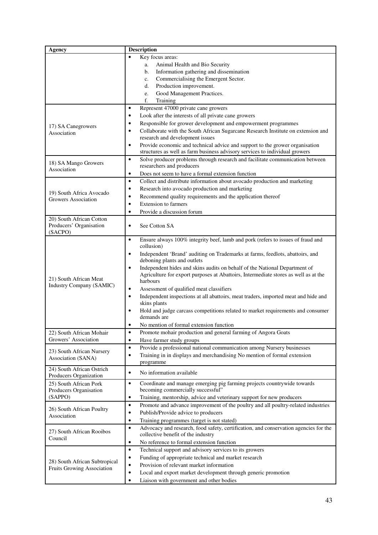| Agency                               | Description                                                                                       |
|--------------------------------------|---------------------------------------------------------------------------------------------------|
|                                      | Key focus areas:                                                                                  |
|                                      | Animal Health and Bio Security<br>a.                                                              |
|                                      | Information gathering and dissemination<br>b.                                                     |
|                                      | Commercialising the Emergent Sector.<br>c.                                                        |
|                                      | Production improvement.<br>d.                                                                     |
|                                      | Good Management Practices.<br>e.                                                                  |
|                                      | f.<br>Training                                                                                    |
|                                      | Represent 47000 private cane growers<br>$\bullet$                                                 |
|                                      | Look after the interests of all private cane growers<br>$\bullet$                                 |
| 17) SA Canegrowers                   | Responsible for grower development and empowerment programmes<br>$\bullet$                        |
| Association                          | Collaborate with the South African Sugarcane Research Institute on extension and<br>$\bullet$     |
|                                      | research and development issues                                                                   |
|                                      | Provide economic and technical advice and support to the grower organisation<br>$\bullet$         |
|                                      | structures as well as farm business advisory services to individual growers                       |
| 18) SA Mango Growers                 | Solve producer problems through research and facilitate communication between<br>$\bullet$        |
| Association                          | researchers and producers                                                                         |
|                                      | Does not seem to have a formal extension function<br>$\bullet$                                    |
|                                      | Collect and distribute information about avocado production and marketing<br>$\bullet$            |
| 19) South Africa Avocado             | Research into avocado production and marketing<br>$\bullet$                                       |
| Growers Association                  | Recommend quality requirements and the application thereof<br>$\bullet$                           |
|                                      | <b>Extension to farmers</b><br>$\bullet$                                                          |
|                                      | Provide a discussion forum<br>$\bullet$                                                           |
| 20) South African Cotton             |                                                                                                   |
| Producers' Organisation              | See Cotton SA<br>$\bullet$                                                                        |
| (SACPO)                              |                                                                                                   |
|                                      | Ensure always 100% integrity beef, lamb and pork (refers to issues of fraud and<br>$\bullet$      |
|                                      | collusion)                                                                                        |
|                                      | Independent 'Brand' auditing on Trademarks at farms, feedlots, abattoirs, and<br>$\bullet$        |
|                                      | deboning plants and outlets                                                                       |
|                                      | Independent hides and skins audits on behalf of the National Department of<br>$\bullet$           |
| 21) South African Meat               | Agriculture for export purposes at Abattoirs, Intermediate stores as well as at the<br>harbours   |
| Industry Company (SAMIC)             | Assessment of qualified meat classifiers                                                          |
|                                      | Independent inspections at all abattoirs, meat traders, imported meat and hide and<br>$\bullet$   |
|                                      | skins plants                                                                                      |
|                                      | Hold and judge carcass competitions related to market requirements and consumer                   |
|                                      | demands are                                                                                       |
|                                      | No mention of formal extension function                                                           |
| 22) South African Mohair             | Promote mohair production and general farming of Angora Goats                                     |
| Growers' Association                 | Have farmer study groups<br>$\bullet$                                                             |
|                                      | Provide a professional national communication among Nursery businesses<br>$\bullet$               |
| 23) South African Nursery            | Training in in displays and merchandising No mention of formal extension<br>$\bullet$             |
| Association (SANA)                   | programme                                                                                         |
| 24) South African Ostrich            |                                                                                                   |
| Producers Organization               | No information available<br>$\bullet$                                                             |
| 25) South African Pork               | Coordinate and manage emerging pig farming projects countrywide towards<br>$\bullet$              |
| Producers Organisation               | becoming commercially successful"                                                                 |
| (SAPPO)                              | Training, mentorship, advice and veterinary support for new producers<br>$\bullet$                |
|                                      | Promote and advance improvement of the poultry and all poultry-related industries<br>$\bullet$    |
| 26) South African Poultry            | Publish/Provide advice to producers<br>$\bullet$                                                  |
| Association                          | Training programmes (target is not stated)<br>$\bullet$                                           |
|                                      | Advocacy and research, food safety, certification, and conservation agencies for the<br>$\bullet$ |
| 27) South African Rooibos<br>Council | collective benefit of the industry                                                                |
|                                      | No reference to formal extension function<br>$\bullet$                                            |
|                                      | Technical support and advisory services to its growers<br>$\bullet$                               |
|                                      | Funding of appropriate technical and market research<br>$\bullet$                                 |
| 28) South African Subtropical        | Provision of relevant market information<br>$\bullet$                                             |
| Fruits Growing Association           | Local and export market development through generic promotion<br>$\bullet$                        |
|                                      |                                                                                                   |
|                                      | Liaison with government and other bodies                                                          |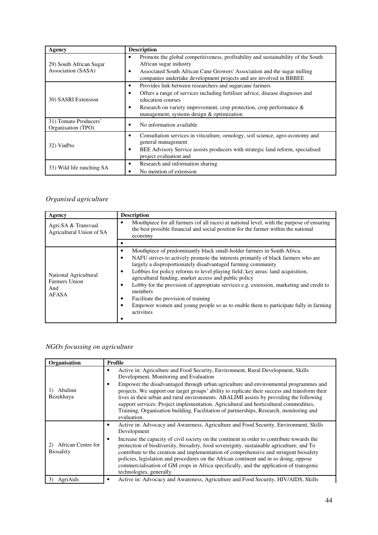| Agency                                        | <b>Description</b>                                                                                                                                                                                                                                            |
|-----------------------------------------------|---------------------------------------------------------------------------------------------------------------------------------------------------------------------------------------------------------------------------------------------------------------|
| 29) South African Sugar<br>Association (SASA) | Promote the global competitiveness, profitability and sustainability of the South<br>African sugar industry<br>Associated South African Cane Growers' Association and the sugar milling<br>companies undertake development projects and are involved in BBBEE |
|                                               | Provides link between researchers and sugarcane farmers<br>٠                                                                                                                                                                                                  |
| 30) SASRI Extension                           | Offers a range of services including fertiliser advice, disease diagnoses and<br>education courses                                                                                                                                                            |
|                                               | Research on variety improvement, crop protection, crop performance $\&$<br>management, systems design & optimization                                                                                                                                          |
| 31) Tomato Producers'<br>Organisation (TPO)   | No information available                                                                                                                                                                                                                                      |
| 32) VinPro                                    | Consultation services in viticulture, oenology, soil science, agro-economy and<br>general management                                                                                                                                                          |
|                                               | BEE Advisory Service assists producers with strategic land reform, specialised<br>project evaluation and                                                                                                                                                      |
| 33) Wild life ranching SA                     | Research and information sharing                                                                                                                                                                                                                              |
|                                               | No mention of extension                                                                                                                                                                                                                                       |

## *Organised agriculture*

| Agency                                                 | <b>Description</b>                                                                                                                                                                                                                                                                                                                                                                                                                                                                                                                                                                                                          |
|--------------------------------------------------------|-----------------------------------------------------------------------------------------------------------------------------------------------------------------------------------------------------------------------------------------------------------------------------------------------------------------------------------------------------------------------------------------------------------------------------------------------------------------------------------------------------------------------------------------------------------------------------------------------------------------------------|
| Agri-SA & Transvaal<br>Agricultural Union of SA        | Mouthpiece for all farmers (of all races) at national level, with the purpose of ensuring<br>the best possible financial and social position for the farmer within the national<br>economy                                                                                                                                                                                                                                                                                                                                                                                                                                  |
|                                                        |                                                                                                                                                                                                                                                                                                                                                                                                                                                                                                                                                                                                                             |
| National Agricultural<br>Farmers Union<br>And<br>AFASA | Mouthpiece of predominantly black small-holder farmers in South Africa.<br>NAFU strives to actively promote the interests primarily of black farmers who are<br>largely a disproportionately disadvantaged farming community<br>Lobbies for policy reforms to level playing field; key areas: land acquisition,<br>agricultural funding, market access and public policy<br>Lobby for the provision of appropriate services e.g. extension, marketing and credit to<br>members<br>Facilitate the provision of training<br>Empower women and young people so as to enable them to participate fully in farming<br>activities |

# *NGOs focussing on agriculture*

| Organisation                                 | Profile                                                                                                                                                                                                                                                                                                                                                                                                                                                                                                                                                                                                                 |
|----------------------------------------------|-------------------------------------------------------------------------------------------------------------------------------------------------------------------------------------------------------------------------------------------------------------------------------------------------------------------------------------------------------------------------------------------------------------------------------------------------------------------------------------------------------------------------------------------------------------------------------------------------------------------------|
| Abalimi<br>Bezekhaya                         | Active in: Agriculture and Food Security, Environment, Rural Development, Skills<br>٠<br>Development, Monitoring and Evaluation<br>Empower the disadvantaged through urban agriculture and environmental programmes and<br>projects. We support our target groups' ability to replicate their success and transform their<br>lives in their urban and rural environments. ABALIMI assists by providing the following<br>support services: Project implementation, Agricultural and horticultural commodities,<br>Training, Organisation building, Facilitation of partnerships, Research, monitoring and<br>evaluation. |
| African Centre for<br>2)<br><b>Biosafety</b> | Active in: Advocacy and Awareness, Agriculture and Food Security, Environment, Skills<br>Development<br>Increase the capacity of civil society on the continent in order to contribute towards the<br>٠<br>protection of biodiversity, biosafety, food sovereignty, sustainable agriculture; and To<br>contribute to the creation and implementation of comprehensive and stringent biosafety<br>policies, legislation and procedures on the African continent and in so doing, oppose<br>commercialisation of GM crops in Africa specifically, and the application of transgenic<br>technologies, generally.           |
| AgriAids                                     | Active in: Advocacy and Awareness, Agriculture and Food Security, HIV/AIDS, Skills<br>٠                                                                                                                                                                                                                                                                                                                                                                                                                                                                                                                                 |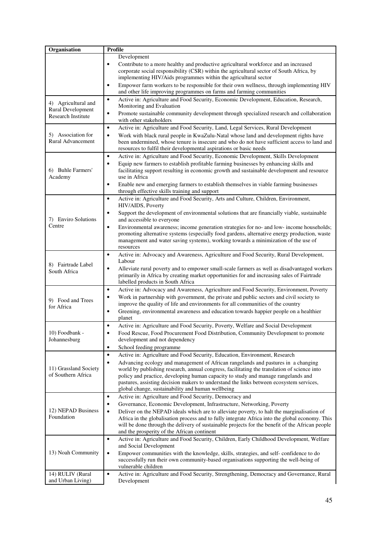| Organisation                                   | Profile                                                                                                                                                                                                                                                                                                                                                                                                                            |
|------------------------------------------------|------------------------------------------------------------------------------------------------------------------------------------------------------------------------------------------------------------------------------------------------------------------------------------------------------------------------------------------------------------------------------------------------------------------------------------|
|                                                | Development<br>Contribute to a more healthy and productive agricultural workforce and an increased<br>$\bullet$<br>corporate social responsibility (CSR) within the agricultural sector of South Africa, by                                                                                                                                                                                                                        |
|                                                | implementing HIV/Aids programmes within the agricultural sector<br>Empower farm workers to be responsible for their own wellness, through implementing HIV<br>$\bullet$                                                                                                                                                                                                                                                            |
|                                                | and other life improving programmes on farms and farming communities                                                                                                                                                                                                                                                                                                                                                               |
| 4) Agricultural and                            | Active in: Agriculture and Food Security, Economic Development, Education, Research,<br>$\bullet$<br>Monitoring and Evaluation                                                                                                                                                                                                                                                                                                     |
| Rural Development<br><b>Research Institute</b> | Promote sustainable community development through specialized research and collaboration<br>٠<br>with other stakeholders                                                                                                                                                                                                                                                                                                           |
|                                                | Active in: Agriculture and Food Security, Land, Legal Services, Rural Development<br>$\bullet$                                                                                                                                                                                                                                                                                                                                     |
| 5) Association for<br>Rural Advancement        | Work with black rural people in KwaZulu-Natal whose land and development rights have<br>$\bullet$<br>been undermined, whose tenure is insecure and who do not have sufficient access to land and<br>resources to fulfil their developmental aspirations or basic needs                                                                                                                                                             |
|                                                | $\bullet$<br>Active in: Agriculture and Food Security, Economic Development, Skills Development                                                                                                                                                                                                                                                                                                                                    |
| 6) Buhle Farmers'<br>Academy                   | Equip new farmers to establish profitable farming businesses by enhancing skills and<br>$\bullet$<br>facilitating support resulting in economic growth and sustainable development and resource<br>use in Africa                                                                                                                                                                                                                   |
|                                                | Enable new and emerging farmers to establish themselves in viable farming businesses<br>$\bullet$<br>through effective skills training and support                                                                                                                                                                                                                                                                                 |
|                                                | Active in: Agriculture and Food Security, Arts and Culture, Children, Environment,<br>$\bullet$<br>HIV/AIDS, Poverty                                                                                                                                                                                                                                                                                                               |
| 7) Enviro Solutions                            | Support the development of environmental solutions that are financially viable, sustainable<br>$\bullet$<br>and accessible to everyone                                                                                                                                                                                                                                                                                             |
| Centre                                         | Environmental awareness; income generation strategies for no- and low- income households;<br>$\bullet$<br>promoting alternative systems (especially food gardens, alternative energy production, waste<br>management and water saving systems), working towards a minimization of the use of<br>resources                                                                                                                          |
|                                                | Active in: Advocacy and Awareness, Agriculture and Food Security, Rural Development,<br>$\bullet$                                                                                                                                                                                                                                                                                                                                  |
| 8) Fairtrade Label<br>South Africa             | Labour<br>Alleviate rural poverty and to empower small-scale farmers as well as disadvantaged workers<br>$\bullet$<br>primarily in Africa by creating market opportunities for and increasing sales of Fairtrade<br>labelled products in South Africa                                                                                                                                                                              |
|                                                | Active in: Advocacy and Awareness, Agriculture and Food Security, Environment, Poverty<br>$\bullet$                                                                                                                                                                                                                                                                                                                                |
| 9) Food and Trees<br>for Africa                | Work in partnership with government, the private and public sectors and civil society to<br>$\bullet$<br>improve the quality of life and environments for all communities of the country                                                                                                                                                                                                                                           |
|                                                | Greening, environmental awareness and education towards happier people on a healthier<br>$\bullet$<br>planet                                                                                                                                                                                                                                                                                                                       |
| 10) Foodbank -<br>Johannesburg                 | Active in: Agriculture and Food Security, Poverty, Welfare and Social Development<br>$\bullet$<br>Food Rescue, Food Procurement Food Distribution, Community Development to promote<br>٠<br>development and not dependency                                                                                                                                                                                                         |
|                                                | School feeding programme<br>$\bullet$<br>Active in: Agriculture and Food Security, Education, Environment, Research<br>$\bullet$                                                                                                                                                                                                                                                                                                   |
| 11) Grassland Society<br>of Southern Africa    | Advancing ecology and management of African rangelands and pastures in a changing<br>$\bullet$<br>world by publishing research, annual congress, facilitating the translation of science into<br>policy and practice, developing human capacity to study and manage rangelands and<br>pastures, assisting decision makers to understand the links between ecosystem services,<br>global change, sustainability and human wellbeing |
|                                                | Active in: Agriculture and Food Security, Democracy and<br>$\bullet$                                                                                                                                                                                                                                                                                                                                                               |
|                                                | Governance, Economic Development, Infrastructure, Networking, Poverty<br>٠                                                                                                                                                                                                                                                                                                                                                         |
| 12) NEPAD Business<br>Foundation               | Deliver on the NEPAD ideals which are to alleviate poverty, to halt the marginalisation of<br>$\bullet$<br>Africa in the globalisation process and to fully integrate Africa into the global economy. This<br>will be done through the delivery of sustainable projects for the benefit of the African people<br>and the prosperity of the African continent                                                                       |
|                                                | Active in: Agriculture and Food Security, Children, Early Childhood Development, Welfare<br>$\bullet$                                                                                                                                                                                                                                                                                                                              |
| 13) Noah Community                             | and Social Development<br>$\bullet$<br>Empower communities with the knowledge, skills, strategies, and self-confidence to do<br>successfully run their own community-based organisations supporting the well-being of<br>vulnerable children                                                                                                                                                                                       |
| 14) RULIV (Rural<br>and Urban Living)          | Active in: Agriculture and Food Security, Strengthening, Democracy and Governance, Rural<br>$\bullet$<br>Development                                                                                                                                                                                                                                                                                                               |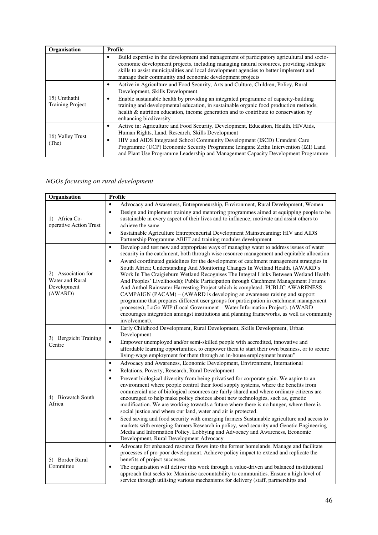| Organisation                            | Profile                                                                                                                                                                                                                                                                                                                                      |
|-----------------------------------------|----------------------------------------------------------------------------------------------------------------------------------------------------------------------------------------------------------------------------------------------------------------------------------------------------------------------------------------------|
|                                         | Build expertise in the development and management of participatory agricultural and socio-<br>economic development projects, including managing natural resources, providing strategic<br>skills to assist municipalities and local development agencies to better implement and<br>manage their community and economic development projects |
| 15) Umthathi<br><b>Training Project</b> | Active in Agriculture and Food Security, Arts and Culture, Children, Policy, Rural<br>٠<br>Development, Skills Development                                                                                                                                                                                                                   |
|                                         | Enable sustainable health by providing an integrated programme of capacity-building<br>training and developmental education, in sustainable organic food production methods,<br>health & nutrition education, income generation and to contribute to conservation by<br>enhancing biodiversity                                               |
| 16) Valley Trust<br>(The)               | Active in: Agriculture and Food Security, Development, Education, Health, HIVAids,<br>Human Rights, Land, Research, Skills Development                                                                                                                                                                                                       |
|                                         | HIV and AIDS Integrated School Community Development (ISCD) Umndeni Care<br>Programme (UCP) Economic Security Programme Izingane Zethu Intervention (IZI) Land<br>and Plant Use Programme Leadership and Management Capacity Development Programme                                                                                           |

## *NGOs focussing on rural development*

| Organisation                                                    | <b>Profile</b>                                                                                                                                                                                                                                                                                                                                                                                                                                                                                                                                                                                                                                                                                                                                                                                                                                                                                                                                                                                                                |
|-----------------------------------------------------------------|-------------------------------------------------------------------------------------------------------------------------------------------------------------------------------------------------------------------------------------------------------------------------------------------------------------------------------------------------------------------------------------------------------------------------------------------------------------------------------------------------------------------------------------------------------------------------------------------------------------------------------------------------------------------------------------------------------------------------------------------------------------------------------------------------------------------------------------------------------------------------------------------------------------------------------------------------------------------------------------------------------------------------------|
| 1) Africa Co-<br>operative Action Trust                         | Advocacy and Awareness, Entrepreneurship, Environment, Rural Development, Women<br>Design and implement training and mentoring programmes aimed at equipping people to be<br>$\bullet$<br>sustainable in every aspect of their lives and to influence, motivate and assist others to<br>achieve the same                                                                                                                                                                                                                                                                                                                                                                                                                                                                                                                                                                                                                                                                                                                      |
|                                                                 | Sustainable Agriculture Entrepreneurial Development Mainstreaming: HIV and AIDS<br>$\bullet$<br>Partnership Programme ABET and training modules development                                                                                                                                                                                                                                                                                                                                                                                                                                                                                                                                                                                                                                                                                                                                                                                                                                                                   |
| 2) Association for<br>Water and Rural<br>Development<br>(AWARD) | Develop and test new and appropriate ways of managing water to address issues of water<br>$\bullet$<br>security in the catchment, both through wise resource management and equitable allocation<br>Award coordinated guidelines for the development of catchment management strategies in<br>$\bullet$<br>South Africa; Understanding And Monitoring Changes In Wetland Health. (AWARD's<br>Work In The Craigieburn Wetland Recognises The Integral Links Between Wetland Health<br>And Peoples' Livelihoods); Public Participation through Catchment Management Forums<br>And Anthol Rainwater Harvesting Project which is completed. PUBLIC AWARENESS<br>CAMPAIGN (PACAM) – (AWARD is developing an awareness raising and support<br>programme that prepares different user groups for participation in catchment management<br>processes); LoGo WIP (Local Government - Water Information Project). (AWARD<br>encourages integration amongst institutions and planning frameworks, as well as community<br>involvement).  |
| 3) Bergzicht Training<br>Centre                                 | Early Childhood Development, Rural Development, Skills Development, Urban<br>$\bullet$<br>Development<br>Empower unemployed and/or semi-skilled people with accredited, innovative and<br>$\bullet$<br>affordable learning opportunities, to empower them to start their own business, or to secure<br>living-wage employment for them through an in-house employment bureau"                                                                                                                                                                                                                                                                                                                                                                                                                                                                                                                                                                                                                                                 |
| 4) Biowatch South<br>Africa                                     | Advocacy and Awareness, Economic Development, Environment, International<br>$\bullet$<br>Relations, Poverty, Research, Rural Development<br>$\bullet$<br>Prevent biological diversity from being privatised for corporate gain. We aspire to an<br>$\bullet$<br>environment where people control their food supply systems, where the benefits from<br>commercial use of biological resources are fairly shared and where ordinary citizens are<br>encouraged to help make policy choices about new technologies, such as, genetic<br>modification. We are working towards a future where there is no hunger, where there is<br>social justice and where our land, water and air is protected.<br>Seed saving and food security with emerging farmers Sustainable agriculture and access to<br>$\bullet$<br>markets with emerging farmers Research in policy, seed security and Genetic Engineering<br>Media and Information Policy, Lobbying and Advocacy and Awareness, Economic<br>Development, Rural Development Advocacy |
| 5) Border Rural<br>Committee                                    | Advocate for enhanced resource flows into the former homelands. Manage and facilitate<br>$\bullet$<br>processes of pro-poor development. Achieve policy impact to extend and replicate the<br>benefits of project successes.<br>The organisation will deliver this work through a value-driven and balanced institutional<br>$\bullet$<br>approach that seeks to: Maximise accountability to communities. Ensure a high level of<br>service through utilising various mechanisms for delivery (staff, partnerships and                                                                                                                                                                                                                                                                                                                                                                                                                                                                                                        |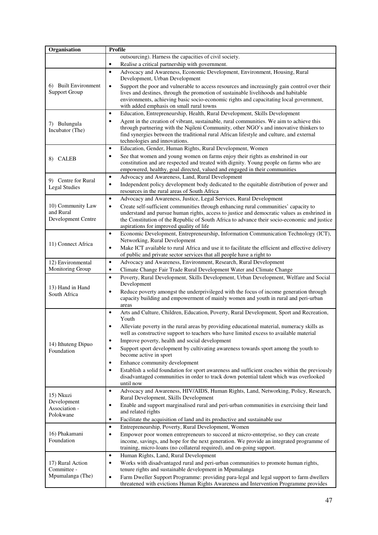| Organisation                    | <b>Profile</b>                                                                                                                                                                                 |
|---------------------------------|------------------------------------------------------------------------------------------------------------------------------------------------------------------------------------------------|
|                                 | outsourcing). Harness the capacities of civil society.                                                                                                                                         |
|                                 | Realise a critical partnership with government.<br>$\bullet$                                                                                                                                   |
|                                 | Advocacy and Awareness, Economic Development, Environment, Housing, Rural<br>$\bullet$<br>Development, Urban Development                                                                       |
| 6) Built Environment            | Support the poor and vulnerable to access resources and increasingly gain control over their<br>$\bullet$                                                                                      |
| <b>Support Group</b>            | lives and destines, through the promotion of sustainable livelihoods and habitable                                                                                                             |
|                                 | environments, achieving basic socio-economic rights and capacitating local government,                                                                                                         |
|                                 | with added emphasis on small rural towns                                                                                                                                                       |
|                                 | Education, Entrepreneurship, Health, Rural Development, Skills Development<br>$\bullet$                                                                                                        |
| 7) Bulungula                    | Agent in the creation of vibrant, sustainable, rural communities. We aim to achieve this<br>$\bullet$<br>through partnering with the Nqileni Community, other NGO's and innovative thinkers to |
| Incubator (The)                 | find synergies between the traditional rural African lifestyle and culture, and external                                                                                                       |
|                                 | technologies and innovations.                                                                                                                                                                  |
|                                 | Education, Gender, Human Rights, Rural Development, Women<br>$\bullet$                                                                                                                         |
| 8) CALEB                        | See that women and young women on farms enjoy their rights as enshrined in our<br>$\bullet$                                                                                                    |
|                                 | constitution and are respected and treated with dignity. Young people on farms who are                                                                                                         |
|                                 | empowered, healthy, goal directed, valued and engaged in their communities                                                                                                                     |
| 9) Centre for Rural             | Advocacy and Awareness, Land, Rural Development<br>$\bullet$<br>Independent policy development body dedicated to the equitable distribution of power and<br>$\bullet$                          |
| <b>Legal Studies</b>            | resources in the rural areas of South Africa                                                                                                                                                   |
|                                 | Advocacy and Awareness, Justice, Legal Services, Rural Development<br>$\bullet$                                                                                                                |
| 10) Community Law               | Create self-sufficient communities through enhancing rural communities' capacity to<br>$\bullet$                                                                                               |
| and Rural                       | understand and pursue human rights, access to justice and democratic values as enshrined in                                                                                                    |
| Development Centre              | the Constitution of the Republic of South Africa to advance their socio-economic and justice                                                                                                   |
|                                 | aspirations for improved quality of life<br>Economic Development, Entrepreneurship, Information Communication Technology (ICT),<br>$\bullet$                                                   |
|                                 | Networking, Rural Development                                                                                                                                                                  |
| 11) Connect Africa              | Make ICT available to rural Africa and use it to facilitate the efficient and effective delivery<br>$\bullet$                                                                                  |
|                                 | of public and private sector services that all people have a right to                                                                                                                          |
| 12) Environmental               | $\bullet$<br>Advocacy and Awareness, Environment, Research, Rural Development                                                                                                                  |
| Monitoring Group                | Climate Change Fair Trade Rural Development Water and Climate Change<br>$\bullet$                                                                                                              |
|                                 | Poverty, Rural Development, Skills Development, Urban Development, Welfare and Social<br>$\bullet$<br>Development                                                                              |
| 13) Hand in Hand                | Reduce poverty amongst the underprivileged with the focus of income generation through<br>$\bullet$                                                                                            |
| South Africa                    | capacity building and empowerment of mainly women and youth in rural and peri-urban                                                                                                            |
|                                 | areas                                                                                                                                                                                          |
|                                 | Arts and Culture, Children, Education, Poverty, Rural Development, Sport and Recreation,<br>$\bullet$                                                                                          |
|                                 | Youth                                                                                                                                                                                          |
|                                 | Alleviate poverty in the rural areas by providing educational material, numeracy skills as<br>well as constructive support to teachers who have limited excess to available material           |
|                                 | Improve poverty, health and social development<br>$\bullet$                                                                                                                                    |
| 14) Ithuteng Dipuo              | Support sport development by cultivating awareness towards sport among the youth to<br>$\bullet$                                                                                               |
| Foundation                      | become active in sport                                                                                                                                                                         |
|                                 | Enhance community development<br>٠                                                                                                                                                             |
|                                 | Establish a solid foundation for sport awareness and sufficient coaches within the previously<br>٠                                                                                             |
|                                 | disadvantaged communities in order to track down potential talent which was overlooked                                                                                                         |
|                                 | until now<br>Advocacy and Awareness, HIV/AIDS, Human Rights, Land, Networking, Policy, Research,<br>$\bullet$                                                                                  |
| 15) Nkuzi                       | Rural Development, Skills Development                                                                                                                                                          |
| Development                     | Enable and support marginalised rural and peri-urban communities in exercising their land<br>٠                                                                                                 |
| Association -<br>Polokwane      | and related rights                                                                                                                                                                             |
|                                 | Facilitate the acquisition of land and its productive and sustainable use<br>$\bullet$                                                                                                         |
| 16) Phakamani<br>Foundation     | Entrepreneurship, Poverty, Rural Development, Women<br>$\bullet$                                                                                                                               |
|                                 | Empower poor women entrepreneurs to succeed at micro-enterprise, so they can create<br>$\bullet$                                                                                               |
|                                 | income, savings, and hope for the next generation. We provide an integrated programme of<br>training, micro-loans (no collateral required), and on-going support.                              |
|                                 | Human Rights, Land, Rural Development<br>$\bullet$                                                                                                                                             |
| 17) Rural Action<br>Committee - | Works with disadvantaged rural and peri-urban communities to promote human rights,<br>$\bullet$                                                                                                |
|                                 | tenure rights and sustainable development in Mpumalanga                                                                                                                                        |
| Mpumalanga (The)                | Farm Dweller Support Programme: providing para-legal and legal support to farm dwellers<br>$\bullet$                                                                                           |
|                                 | threatened with evictions Human Rights Awareness and Intervention Programme provides                                                                                                           |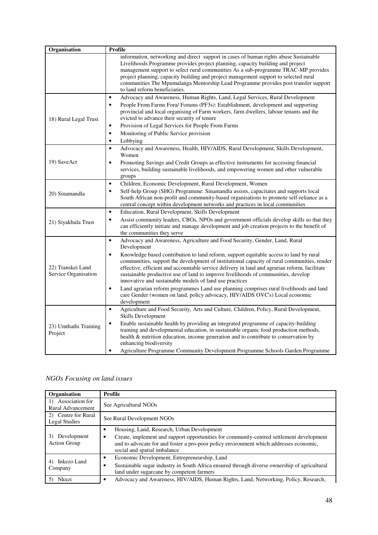| Organisation                              | <b>Profile</b>                                                                                                                                                                                                                                                                                                                                                                                                                                                                                                                                                                                                                                                                                                                                                     |
|-------------------------------------------|--------------------------------------------------------------------------------------------------------------------------------------------------------------------------------------------------------------------------------------------------------------------------------------------------------------------------------------------------------------------------------------------------------------------------------------------------------------------------------------------------------------------------------------------------------------------------------------------------------------------------------------------------------------------------------------------------------------------------------------------------------------------|
|                                           | information, networking and direct support in cases of human rights abuse Sustainable<br>Livelihoods Programme provides project planning, capacity building and project<br>management support to select rural communities As a sub-programme TRAC-MP provides<br>project planning, capacity building and project management support to selected rural<br>communities The Mpumalanga Mentorship Lead Programme provides post transfer support<br>to land reform beneficiaries.                                                                                                                                                                                                                                                                                      |
| 18) Rural Legal Trust                     | Advocacy and Awareness, Human Rights, Land, Legal Services, Rural Development<br>$\bullet$<br>People From Farms Fora/ Forums (PF3s): Establishment, development and supporting<br>$\bullet$<br>provincial and local organising of Farm workers, farm dwellers, labour tenants and the<br>evicted to advance their security of tenure<br>Provision of Legal Services for People From Farms<br>$\bullet$<br>Monitoring of Public Service provision<br>$\bullet$<br>Lobbying<br>$\bullet$                                                                                                                                                                                                                                                                             |
| 19) SaveAct                               | Advocacy and Awareness, Health, HIV/AIDS, Rural Development, Skills Development,<br>$\bullet$<br>Women<br>Promoting Savings and Credit Groups as effective instruments for accessing financial<br>services, building sustainable livelihoods, and empowering women and other vulnerable<br>groups                                                                                                                                                                                                                                                                                                                                                                                                                                                                  |
| 20) Sinamandla                            | Children, Economic Development, Rural Development, Women<br>$\bullet$<br>Self-help Group (SHG) Programme: Sinamandla assists, capacitates and supports local<br>$\bullet$<br>South African non-profit and community-based organisations to promote self-reliance as a<br>central concept within development networks and practices in local communities                                                                                                                                                                                                                                                                                                                                                                                                            |
| 21) Siyakhula Trust                       | Education, Rural Development, Skills Development<br>$\bullet$<br>Assist community leaders, CBOs, NPOs and government officials develop skills so that they<br>$\bullet$<br>can efficiently initiate and manage development and job creation projects to the benefit of<br>the communities they serve                                                                                                                                                                                                                                                                                                                                                                                                                                                               |
| 22) Transkei Land<br>Service Organisation | Advocacy and Awareness, Agriculture and Food Security, Gender, Land, Rural<br>$\bullet$<br>Development<br>Knowledge based contribution to land reform, support equitable access to land by rural<br>$\bullet$<br>communities, support the development of institutional capacity of rural communities, render<br>effective, efficient and accountable service delivery in land and agrarian reform, facilitate<br>sustainable productive use of land to improve livelihoods of communities, develop<br>innovative and sustainable models of land use practices<br>Land agrarian reform programmes Land use planning comprises rural livelihoods and land<br>$\bullet$<br>care Gender (women on land, policy advocacy, HIV/AIDS OVC's) Local economic<br>development |
| 23) Umthathi Training<br>Project          | Agriculture and Food Security, Arts and Culture, Children, Policy, Rural Development,<br>$\bullet$<br>Skills Development<br>Enable sustainable health by providing an integrated programme of capacity-building<br>$\bullet$<br>training and developmental education, in sustainable organic food production methods,<br>health & nutrition education, income generation and to contribute to conservation by<br>enhancing biodiversity<br>Agriculture Programme Community Development Programme Schools Garden Programme                                                                                                                                                                                                                                          |

*NGOs Focusing on land issues* 

| Organisation                            | Profile                                                                                                                                                                                                                                                                    |  |
|-----------------------------------------|----------------------------------------------------------------------------------------------------------------------------------------------------------------------------------------------------------------------------------------------------------------------------|--|
| 1) Association for<br>Rural Advancement | See Agricultural NGOs                                                                                                                                                                                                                                                      |  |
| 2) Centre for Rural<br>Legal Studies    | See Rural Development NGOs                                                                                                                                                                                                                                                 |  |
| Development<br>3)<br>Action Group       | Housing, Land, Research, Urban Development<br>٠<br>Create, implement and support opportunities for community-centred settlement development<br>٠<br>and to advocate for and foster a pro-poor policy environment which addresses economic,<br>social and spatial imbalance |  |
| Inkezo Land<br>4)<br>Company            | Economic Development, Entrepreneurship, Land<br>٠<br>Sustainable sugar industry in South Africa ensured through diverse ownership of agricultural<br>٠<br>land under sugarcane by competent farmers                                                                        |  |
| Nkuzi                                   | Advocacy and Awareness, HIV/AIDS, Human Rights, Land, Networking, Policy, Research,<br>٠                                                                                                                                                                                   |  |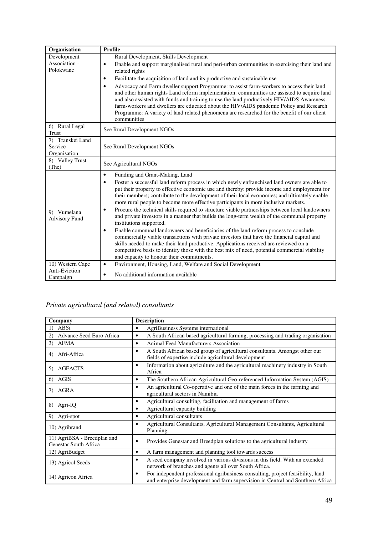| Organisation                        | <b>Profile</b>                                                                                                                                                                                                                                                                                                                                                                                                                                                                                                                                                                                                                                                                                                                                                                                                                             |  |
|-------------------------------------|--------------------------------------------------------------------------------------------------------------------------------------------------------------------------------------------------------------------------------------------------------------------------------------------------------------------------------------------------------------------------------------------------------------------------------------------------------------------------------------------------------------------------------------------------------------------------------------------------------------------------------------------------------------------------------------------------------------------------------------------------------------------------------------------------------------------------------------------|--|
| Development                         | Rural Development, Skills Development                                                                                                                                                                                                                                                                                                                                                                                                                                                                                                                                                                                                                                                                                                                                                                                                      |  |
| Association -                       | Enable and support marginalised rural and peri-urban communities in exercising their land and<br>$\bullet$                                                                                                                                                                                                                                                                                                                                                                                                                                                                                                                                                                                                                                                                                                                                 |  |
| Polokwane                           | related rights                                                                                                                                                                                                                                                                                                                                                                                                                                                                                                                                                                                                                                                                                                                                                                                                                             |  |
|                                     | Facilitate the acquisition of land and its productive and sustainable use<br>$\bullet$                                                                                                                                                                                                                                                                                                                                                                                                                                                                                                                                                                                                                                                                                                                                                     |  |
|                                     | Advocacy and Farm dweller support Programme: to assist farm-workers to access their land<br>$\bullet$<br>and other human rights Land reform implementation: communities are assisted to acquire land<br>and also assisted with funds and training to use the land productively HIV/AIDS Awareness:<br>farm-workers and dwellers are educated about the HIV/AIDS pandemic Policy and Research<br>Programme: A variety of land related phenomena are researched for the benefit of our client<br>communities                                                                                                                                                                                                                                                                                                                                 |  |
| 6) Rural Legal<br>Trust             | See Rural Development NGOs                                                                                                                                                                                                                                                                                                                                                                                                                                                                                                                                                                                                                                                                                                                                                                                                                 |  |
| 7) Transkei Land                    |                                                                                                                                                                                                                                                                                                                                                                                                                                                                                                                                                                                                                                                                                                                                                                                                                                            |  |
| Service                             | See Rural Development NGOs                                                                                                                                                                                                                                                                                                                                                                                                                                                                                                                                                                                                                                                                                                                                                                                                                 |  |
| Organisation                        |                                                                                                                                                                                                                                                                                                                                                                                                                                                                                                                                                                                                                                                                                                                                                                                                                                            |  |
| 8) Valley Trust<br>(The)            | See Agricultural NGOs                                                                                                                                                                                                                                                                                                                                                                                                                                                                                                                                                                                                                                                                                                                                                                                                                      |  |
|                                     | Funding and Grant-Making, Land<br>$\bullet$                                                                                                                                                                                                                                                                                                                                                                                                                                                                                                                                                                                                                                                                                                                                                                                                |  |
| 9) Vumelana<br><b>Advisory Fund</b> | Foster a successful land reform process in which newly enfranchised land owners are able to<br>$\bullet$<br>put their property to effective economic use and thereby: provide income and employment for<br>their members; contribute to the development of their local economies; and ultimately enable<br>more rural people to become more effective participants in more inclusive markets.<br>Procure the technical skills required to structure viable partnerships between local landowners<br>$\bullet$<br>and private investors in a manner that builds the long-term wealth of the communal property<br>institutions supported.<br>Enable communal landowners and beneficiaries of the land reform process to conclude<br>$\bullet$<br>commercially viable transactions with private investors that have the financial capital and |  |
|                                     | skills needed to make their land productive. Applications received are reviewed on a<br>competitive basis to identify those with the best mix of need, potential commercial viability<br>and capacity to honour their commitments.                                                                                                                                                                                                                                                                                                                                                                                                                                                                                                                                                                                                         |  |
| 10) Western Cape                    | Environment, Housing, Land, Welfare and Social Development<br>$\bullet$                                                                                                                                                                                                                                                                                                                                                                                                                                                                                                                                                                                                                                                                                                                                                                    |  |
| Anti-Eviction<br>Campaign           | No additional information available<br>$\bullet$                                                                                                                                                                                                                                                                                                                                                                                                                                                                                                                                                                                                                                                                                                                                                                                           |  |

## *Private agricultural (and related) consultants*

| Company                                              | <b>Description</b>                                                                                                                                                             |
|------------------------------------------------------|--------------------------------------------------------------------------------------------------------------------------------------------------------------------------------|
| ABSi<br>$\left  \right $                             | AgriBusiness Systems international<br>٠                                                                                                                                        |
| Advance Seed Euro Africa<br>2)                       | A South African based agricultural farming, processing and trading organisation<br>$\bullet$                                                                                   |
| 3) AFMA                                              | Animal Feed Manufacturers Association<br>٠                                                                                                                                     |
| Afri-Africa<br>4)                                    | A South African based group of agricultural consultants. Amongst other our<br>$\bullet$<br>fields of expertise include agricultural development                                |
| <b>AGFACTS</b><br>5)                                 | Information about agriculture and the agricultural machinery industry in South<br>$\bullet$<br>Africa                                                                          |
| AGIS<br>6)                                           | The Southern African Agricultural Geo-referenced Information System (AGIS)<br>٠                                                                                                |
| AGRA<br>7)                                           | An agricultural Co-operative and one of the main forces in the farming and<br>$\bullet$<br>agricultural sectors in Namibia                                                     |
| 8)<br>Agri-IQ                                        | Agricultural consulting, facilitation and management of farms<br>٠                                                                                                             |
|                                                      | Agricultural capacity building<br>٠                                                                                                                                            |
| 9)<br>Agri-spot                                      | Agricultural consultants<br>$\bullet$                                                                                                                                          |
| 10) Agribrand                                        | Agricultural Consultants, Agricultural Management Consultants, Agricultural<br>$\bullet$<br>Planning                                                                           |
| 11) AgriBSA - Breedplan and<br>Genestar South Africa | Provides Genestar and Breedplan solutions to the agricultural industry<br>$\bullet$                                                                                            |
| 12) AgriBudget                                       | A farm management and planning tool towards success<br>٠                                                                                                                       |
| 13) Agricol Seeds                                    | A seed company involved in various divisions in this field. With an extended<br>٠<br>network of branches and agents all over South Africa.                                     |
| 14) Agricon Africa                                   | For independent professional agribusiness consulting, project feasibility, land<br>$\bullet$<br>and enterprise development and farm supervision in Central and Southern Africa |